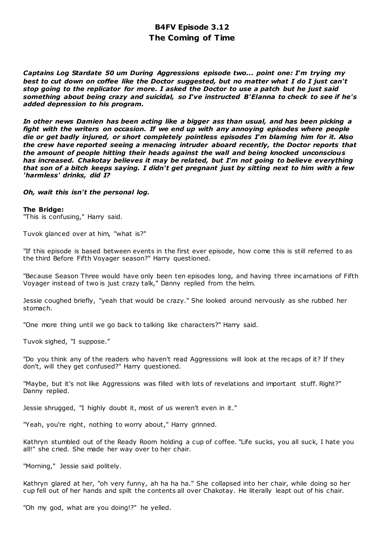# **B4FV Episode 3.12 The Coming of Time**

*Captains Log Stardate 50 um During Aggressions episode two... point one: I'm trying my best to cut down on coffee like the Doctor suggested, but no matter what I do I just can't stop going to the replicator for more. I asked the Doctor to use a patch but he just said something about being crazy and suicidal, so I've instructed B'Elanna to check to see if he's added depression to his program.*

*In other news Damien has been acting like a bigger ass than usual, and has been picking a fight with the writers on occasion. If we end up with any annoying episodes where people die or get badly injured, or short completely pointless episodes I'm blaming him for it. Also the crew have reported seeing a menacing intruder aboard recently, the Doctor reports that the amount of people hitting their heads against the wall and being knocked unconscious has increased. Chakotay believes it may be related, but I'm not going to believe everything that son of a bitch keeps saying. I didn't get pregnant just by sitting next to him with a few 'harmless' drinks, did I?*

# *Oh, wait this isn't the personal log.*

### **The Bridge:**

"This is confusing," Harry said.

Tuvok glanced over at him, "what is?"

"If this episode is based between events in the first ever episode, how come this is still referred to as the third Before Fifth Voyager season?" Harry questioned.

"Because Season Three would have only been ten episodes long, and having three incarnations of Fifth Voyager instead of two is just crazy talk," Danny replied from the helm.

Jessie coughed briefly, "yeah that would be crazy." She looked around nervously as she rubbed her stomach.

"One more thing until we go back to talking like characters?" Harry said.

Tuvok sighed, "I suppose."

"Do you think any of the readers who haven't read Aggressions will look at the recaps of it? If they don't, will they get confused?" Harry questioned.

"Maybe, but it's not like Aggressions was filled with lots of revelations and important stuff. Right?" Danny replied.

Jessie shrugged, "I highly doubt it, most of us weren't even in it."

"Yeah, you're right, nothing to worry about," Harry grinned.

Kathryn stumbled out of the Ready Room holding a cup of coffee. "Life sucks, you all suck, I hate you all!" she cried. She made her way over to her chair.

"Morning," Jessie said politely.

Kathryn glared at her, "oh very funny, ah ha ha ha." She collapsed into her chair, while doing so her cup fell out of her hands and spilt the contents all over Chakotay. He literally leapt out of his chair.

"Oh my god, what are you doing!?" he yelled.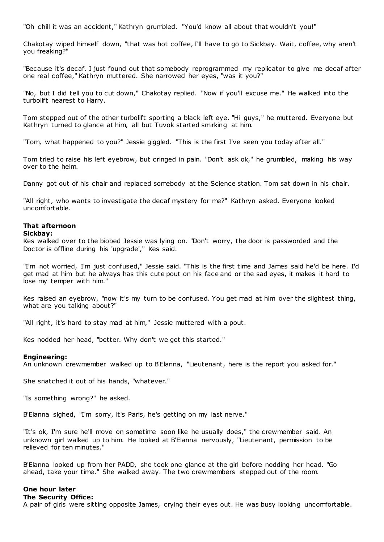"Oh chill it was an accident," Kathryn grumbled. "You'd know all about that wouldn't you!"

Chakotay wiped himself down, "that was hot coffee, I'll have to go to Sickbay. Wait, coffee, why aren't you freaking?"

"Because it's decaf. I just found out that somebody reprogrammed my replicator to give me decaf after one real coffee," Kathryn muttered. She narrowed her eyes, "was it you?"

"No, but I did tell you to cut down," Chakotay replied. "Now if you'll excuse me." He walked into the turbolift nearest to Harry.

Tom stepped out of the other turbolift sporting a black left eye. "Hi guys," he muttered. Everyone but Kathryn turned to glance at him, all but Tuvok started smirking at him.

"Tom, what happened to you?" Jessie giggled. "This is the first I've seen you today after all."

Tom tried to raise his left eyebrow, but cringed in pain. "Don't ask ok," he grumbled, making his way over to the helm.

Danny got out of his chair and replaced somebody at the Science station. Tom sat down in his chair.

"All right, who wants to investigate the decaf mystery for me?" Kathryn asked. Everyone looked uncomfortable.

# **That afternoon**

### **Sickbay:**

Kes walked over to the biobed Jessie was lying on. "Don't worry, the door is passworded and the Doctor is offline during his 'upgrade'," Kes said.

"I'm not worried, I'm just confused," Jessie said. "This is the first time and James said he'd be here. I'd get mad at him but he always has this cute pout on his face and or the sad eyes, it makes it hard to lose my temper with him."

Kes raised an eyebrow, "now it's my turn to be confused. You get mad at him over the slightest thing, what are you talking about?"

"All right, it's hard to stay mad at him," Jessie muttered with a pout.

Kes nodded her head, "better. Why don't we get this started."

# **Engineering:**

An unknown crewmember walked up to B'Elanna, "Lieutenant, here is the report you asked for."

She snatched it out of his hands, "whatever."

"Is something wrong?" he asked.

B'Elanna sighed, "I'm sorry, it's Paris, he's getting on my last nerve."

"It's ok, I'm sure he'll move on sometime soon like he usually does," the crewmember said. An unknown girl walked up to him. He looked at B'Elanna nervously, "Lieutenant, permission to be relieved for ten minutes."

B'Elanna looked up from her PADD, she took one glance at the girl before nodding her head. "Go ahead, take your time." She walked away. The two crewmembers stepped out of the room.

# **One hour later**

**The Security Office:**

A pair of girls were sitting opposite James, crying their eyes out. He was busy looking uncomfortable.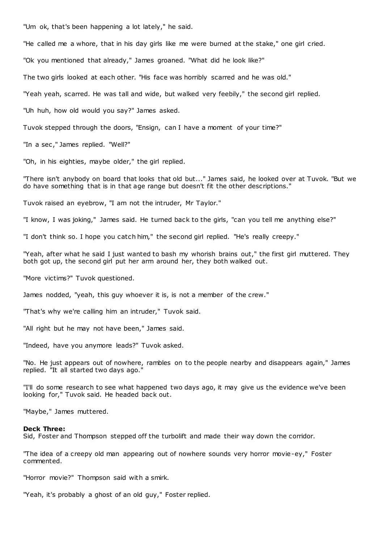"Um ok, that's been happening a lot lately," he said.

"He called me a whore, that in his day girls like me were burned at the stake," one girl cried.

"Ok you mentioned that already," James groaned. "What did he look like?"

The two girls looked at each other. "His face was horribly scarred and he was old."

"Yeah yeah, scarred. He was tall and wide, but walked very feebily," the second girl replied.

"Uh huh, how old would you say?" James asked.

Tuvok stepped through the doors, "Ensign, can I have a moment of your time?"

"In a sec ," James replied. "Well?"

"Oh, in his eighties, maybe older," the girl replied.

"There isn't anybody on board that looks that old but..." James said, he looked over at Tuvok. "But we do have something that is in that age range but doesn't fit the other descriptions."

Tuvok raised an eyebrow, "I am not the intruder, Mr Taylor."

"I know, I was joking," James said. He turned back to the girls, "can you tell me anything else?"

"I don't think so. I hope you catch him," the second girl replied. "He's really creepy."

"Yeah, after what he said I just wanted to bash my whorish brains out," the first girl muttered. They both got up, the second girl put her arm around her, they both walked out.

"More victims?" Tuvok questioned.

James nodded, "yeah, this guy whoever it is, is not a member of the crew."

"That's why we're calling him an intruder," Tuvok said.

"All right but he may not have been," James said.

"Indeed, have you anymore leads?" Tuvok asked.

"No. He just appears out of nowhere, rambles on to the people nearby and disappears again," James replied. "It all started two days ago."

"I'll do some research to see what happened two days ago, it may give us the evidence we've been looking for," Tuvok said. He headed back out.

"Maybe," James muttered.

#### **Deck Three:**

Sid, Foster and Thompson stepped off the turbolift and made their way down the corridor.

"The idea of a creepy old man appearing out of nowhere sounds very horror movie-ey," Foster commented.

"Horror movie?" Thompson said with a smirk.

"Yeah, it's probably a ghost of an old guy," Foster replied.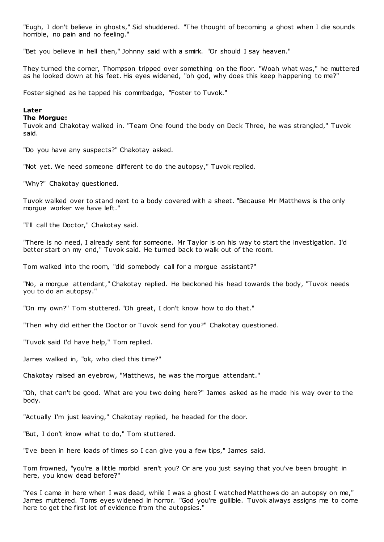"Eugh, I don't believe in ghosts," Sid shuddered. "The thought of becoming a ghost when I die sounds horrible, no pain and no feeling.

"Bet you believe in hell then," Johnny said with a smirk. "Or should I say heaven."

They turned the corner, Thompson tripped over something on the floor. "Woah what was," he muttered as he looked down at his feet. His eyes widened, "oh god, why does this keep happening to me?"

Foster sighed as he tapped his commbadge, "Foster to Tuvok."

# **Later**

#### **The Morgue:**

Tuvok and Chakotay walked in. "Team One found the body on Deck Three, he was strangled," Tuvok said.

"Do you have any suspects?" Chakotay asked.

"Not yet. We need someone different to do the autopsy," Tuvok replied.

"Why?" Chakotay questioned.

Tuvok walked over to stand next to a body covered with a sheet. "Because Mr Matthews is the only morgue worker we have left."

"I'll call the Doctor," Chakotay said.

"There is no need, I already sent for someone. Mr Taylor is on his way to start the investigation. I'd better start on my end," Tuvok said. He turned back to walk out of the room.

Tom walked into the room, "did somebody call for a morgue assistant?"

"No, a morgue attendant," Chakotay replied. He beckoned his head towards the body, "Tuvok needs you to do an autopsy."

"On my own?" Tom stuttered. "Oh great, I don't know how to do that."

"Then why did either the Doctor or Tuvok send for you?" Chakotay questioned.

"Tuvok said I'd have help," Tom replied.

James walked in, "ok, who died this time?"

Chakotay raised an eyebrow, "Matthews, he was the morgue attendant."

"Oh, that can't be good. What are you two doing here?" James asked as he made his way over to the body.

"Actually I'm just leaving," Chakotay replied, he headed for the door.

"But, I don't know what to do," Tom stuttered.

"I've been in here loads of times so I can give you a few tips," James said.

Tom frowned, "you're a little morbid aren't you? Or are you just saying that you've been brought in here, you know dead before?"

"Yes I came in here when I was dead, while I was a ghost I watched Matthews do an autopsy on me," James muttered. Toms eyes widened in horror. "God you're gullible. Tuvok always assigns me to come here to get the first lot of evidence from the autopsies."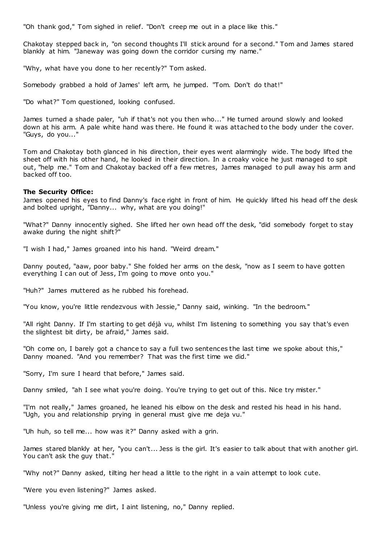"Oh thank god," Tom sighed in relief. "Don't creep me out in a place like this."

Chakotay stepped back in, "on second thoughts I'll stick around for a second." Tom and James stared blankly at him. "Janeway was going down the corridor cursing my name."

"Why, what have you done to her recently?" Tom asked.

Somebody grabbed a hold of James' left arm, he jumped. "Tom. Don't do that!"

"Do what?" Tom questioned, looking confused.

James turned a shade paler, "uh if that's not you then who..." He turned around slowly and looked down at his arm. A pale white hand was there. He found it was attached to the body under the cover. "Guys, do you..."

Tom and Chakotay both glanced in his direction, their eyes went alarmingly wide. The body lifted the sheet off with his other hand, he looked in their direction. In a croaky voice he just managed to spit out, "help me." Tom and Chakotay backed off a few metres, James managed to pull away his arm and backed off too.

# **The Security Office:**

James opened his eyes to find Danny's face right in front of him. He quickly lifted his head off the desk and bolted upright, "Danny... why, what are you doing!"

"What?" Danny innocently sighed. She lifted her own head off the desk, "did somebody forget to stay awake during the night shift?"

"I wish I had," James groaned into his hand. "Weird dream."

Danny pouted, "aaw, poor baby." She folded her arms on the desk, "now as I seem to have gotten everything I can out of Jess, I'm going to move onto you."

"Huh?" James muttered as he rubbed his forehead.

"You know, you're little rendezvous with Jessie," Danny said, winking. "In the bedroom."

"All right Danny. If I'm starting to get déjà vu, whilst I'm listening to something you say that's even the slightest bit dirty, be afraid," James said.

"Oh come on, I barely got a chance to say a full two sentences the last time we spoke about this," Danny moaned. "And you remember? That was the first time we did."

"Sorry, I'm sure I heard that before," James said.

Danny smiled, "ah I see what you're doing. You're trying to get out of this. Nice try mister."

"I'm not really," James groaned, he leaned his elbow on the desk and rested his head in his hand. "Ugh, you and relationship prying in general must give me deja vu."

"Uh huh, so tell me... how was it?" Danny asked with a grin.

James stared blankly at her, "you can't... Jess is the girl. It's easier to talk about that with another girl. You can't ask the guy that."

"Why not?" Danny asked, tilting her head a little to the right in a vain attempt to look cute.

"Were you even listening?" James asked.

"Unless you're giving me dirt, I aint listening, no," Danny replied.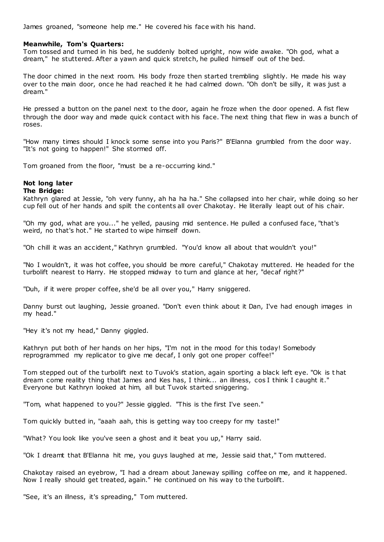James groaned, "someone help me." He covered his face with his hand.

# **Meanwhile, Tom's Quarters:**

Tom tossed and turned in his bed, he suddenly bolted upright, now wide awake. "Oh god, what a dream," he stuttered. After a yawn and quick stretch, he pulled himself out of the bed.

The door chimed in the next room. His body froze then started trembling slightly. He made his way over to the main door, once he had reached it he had calmed down. "Oh don't be silly, it was just a dream."

He pressed a button on the panel next to the door, again he froze when the door opened. A fist flew through the door way and made quick contact with his face. The next thing that flew in was a bunch of roses.

"How many times should I knock some sense into you Paris?" B'Elanna grumbled from the door way. "It's not going to happen!" She stormed off.

Tom groaned from the floor, "must be a re-occurring kind."

# **Not long later**

### **The Bridge:**

Kathryn glared at Jessie, "oh very funny, ah ha ha ha." She collapsed into her chair, while doing so her cup fell out of her hands and spilt the contents all over Chakotay. He literally leapt out of his chair.

"Oh my god, what are you..." he yelled, pausing mid sentence. He pulled a confused face, "that's weird, no that's hot." He started to wipe himself down.

"Oh chill it was an accident," Kathryn grumbled. "You'd know all about that wouldn't you!"

"No I wouldn't, it was hot coffee, you should be more careful," Chakotay muttered. He headed for the turbolift nearest to Harry. He stopped midway to turn and glance at her, "decaf right?"

"Duh, if it were proper coffee, she'd be all over you," Harry sniggered.

Danny burst out laughing, Jessie groaned. "Don't even think about it Dan, I've had enough images in my head."

"Hey it's not my head," Danny giggled.

Kathryn put both of her hands on her hips, "I'm not in the mood for this today! Somebody reprogrammed my replicator to give me decaf, I only got one proper coffee!"

Tom stepped out of the turbolift next to Tuvok's station, again sporting a black left eye. "Ok is t hat dream come reality thing that James and Kes has, I think... an illness, cos I think I caught it." Everyone but Kathryn looked at him, all but Tuvok started sniggering.

"Tom, what happened to you?" Jessie giggled. "This is the first I've seen."

Tom quickly butted in, "aaah aah, this is getting way too creepy for my taste!"

"What? You look like you've seen a ghost and it beat you up," Harry said.

"Ok I dreamt that B'Elanna hit me, you guys laughed at me, Jessie said that," Tom muttered.

Chakotay raised an eyebrow, "I had a dream about Janeway spilling coffee on me, and it happened. Now I really should get treated, again." He continued on his way to the turbolift.

"See, it's an illness, it's spreading," Tom muttered.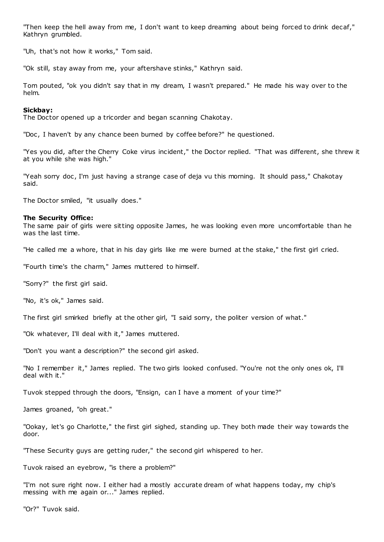"Then keep the hell away from me, I don't want to keep dreaming about being forced to drink decaf," Kathryn grumbled.

"Uh, that's not how it works," Tom said.

"Ok still, stay away from me, your aftershave stinks," Kathryn said.

Tom pouted, "ok you didn't say that in my dream, I wasn't prepared." He made his way over to the helm.

### **Sickbay:**

The Doctor opened up a tricorder and began scanning Chakotay.

"Doc, I haven't by any chance been burned by coffee before?" he questioned.

"Yes you did, after the Cherry Coke virus incident," the Doctor replied. "That was different, she threw it at you while she was high."

"Yeah sorry doc, I'm just having a strange case of deja vu this morning. It should pass," Chakotay said.

The Doctor smiled, "it usually does."

#### **The Security Office:**

The same pair of girls were sitting opposite James, he was looking even more uncomfortable than he was the last time.

"He called me a whore, that in his day girls like me were burned at the stake," the first girl cried.

"Fourth time's the charm," James muttered to himself.

"Sorry?" the first girl said.

"No, it's ok," James said.

The first girl smirked briefly at the other girl, "I said sorry, the politer version of what."

"Ok whatever, I'll deal with it," James muttered.

"Don't you want a description?" the second girl asked.

"No I remember it," James replied. The two girls looked confused. "You're not the only ones ok, I'll deal with it."

Tuvok stepped through the doors, "Ensign, can I have a moment of your time?"

James groaned, "oh great."

"Ookay, let's go Charlotte," the first girl sighed, standing up. They both made their way towards the door.

"These Security guys are getting ruder," the second girl whispered to her.

Tuvok raised an eyebrow, "is there a problem?"

"I'm not sure right now. I either had a mostly accurate dream of what happens today, my chip's messing with me again or..." James replied.

"Or?" Tuvok said.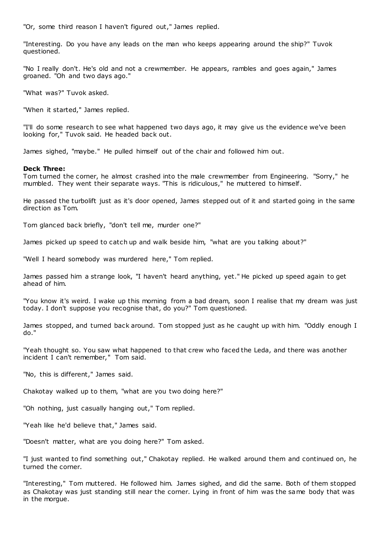"Or, some third reason I haven't figured out," James replied.

"Interesting. Do you have any leads on the man who keeps appearing around the ship?" Tuvok questioned.

"No I really don't. He's old and not a crewmember. He appears, rambles and goes again," James groaned. "Oh and two days ago."

"What was?" Tuvok asked.

"When it started," James replied.

"I'll do some research to see what happened two days ago, it may give us the evidence we've been looking for," Tuvok said. He headed back out.

James sighed, "maybe." He pulled himself out of the chair and followed him out.

# **Deck Three:**

Tom turned the corner, he almost crashed into the male crewmember from Engineering. "Sorry," he mumbled. They went their separate ways. "This is ridiculous," he muttered to himself.

He passed the turbolift just as it's door opened, James stepped out of it and started going in the same direction as Tom.

Tom glanced back briefly, "don't tell me, murder one?"

James picked up speed to catch up and walk beside him, "what are you talking about?"

"Well I heard somebody was murdered here," Tom replied.

James passed him a strange look, "I haven't heard anything, yet." He picked up speed again to get ahead of him.

"You know it's weird. I wake up this morning from a bad dream, soon I realise that my dream was just today. I don't suppose you recognise that, do you?" Tom questioned.

James stopped, and turned back around. Tom stopped just as he caught up with him. "Oddly enough I do."

"Yeah thought so. You saw what happened to that crew who faced the Leda, and there was another incident I can't remember," Tom said.

"No, this is different," James said.

Chakotay walked up to them, "what are you two doing here?"

"Oh nothing, just casually hanging out," Tom replied.

"Yeah like he'd believe that," James said.

"Doesn't matter, what are you doing here?" Tom asked.

"I just wanted to find something out," Chakotay replied. He walked around them and continued on, he turned the corner.

"Interesting," Tom muttered. He followed him. James sighed, and did the same. Both of them stopped as Chakotay was just standing still near the corner. Lying in front of him was the same body that was in the morgue.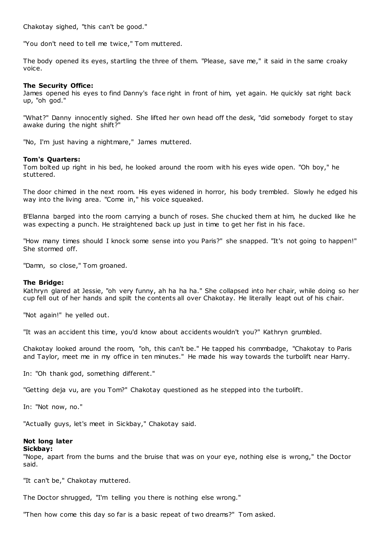Chakotay sighed, "this can't be good."

"You don't need to tell me twice," Tom muttered.

The body opened its eyes, startling the three of them. "Please, save me," it said in the same croaky voice.

# **The Security Office:**

James opened his eyes to find Danny's face right in front of him, yet again. He quickly sat right back up, "oh god."

"What?" Danny innocently sighed. She lifted her own head off the desk, "did somebody forget to stay awake during the night shift?"

"No, I'm just having a nightmare," James muttered.

# **Tom's Quarters:**

Tom bolted up right in his bed, he looked around the room with his eyes wide open. "Oh boy," he stuttered.

The door chimed in the next room. His eyes widened in horror, his body trembled. Slowly he edged his way into the living area. "Come in," his voice squeaked.

B'Elanna barged into the room carrying a bunch of roses. She chucked them at him, he ducked like he was expecting a punch. He straightened back up just in time to get her fist in his face.

"How many times should I knock some sense into you Paris?" she snapped. "It's not going to happen!" She stormed off.

"Damn, so close," Tom groaned.

# **The Bridge:**

Kathryn glared at Jessie, "oh very funny, ah ha ha ha." She collapsed into her chair, while doing so her cup fell out of her hands and spilt the contents all over Chakotay. He literally leapt out of his chair.

"Not again!" he yelled out.

"It was an accident this time, you'd know about accidents wouldn't you?" Kathryn grumbled.

Chakotay looked around the room, "oh, this can't be." He tapped his commbadge, "Chakotay to Paris and Taylor, meet me in my office in ten minutes." He made his way towards the turbolift near Harry.

In: "Oh thank god, something different."

"Getting deja vu, are you Tom?" Chakotay questioned as he stepped into the turbolift.

In: "Not now, no."

"Actually guys, let's meet in Sickbay," Chakotay said.

# **Not long later**

### **Sickbay:**

"Nope, apart from the burns and the bruise that was on your eye, nothing else is wrong," the Doctor said.

"It can't be," Chakotay muttered.

The Doctor shrugged, "I'm telling you there is nothing else wrong."

"Then how come this day so far is a basic repeat of two dreams?" Tom asked.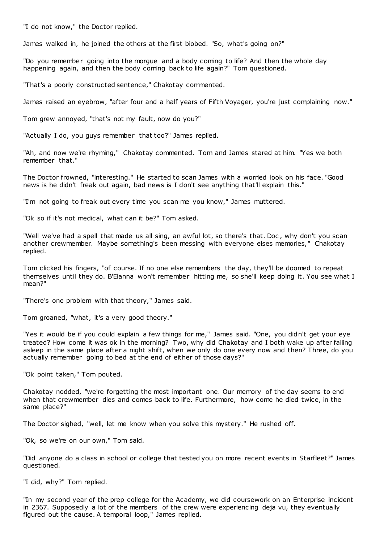"I do not know," the Doctor replied.

James walked in, he joined the others at the first biobed. "So, what's going on?"

"Do you remember going into the morgue and a body coming to life? And then the whole day happening again, and then the body coming back to life again?" Tom questioned.

"That's a poorly constructed sentence," Chakotay commented.

James raised an eyebrow, "after four and a half years of Fifth Voyager, you're just complaining now."

Tom grew annoyed, "that's not my fault, now do you?"

"Actually I do, you guys remember that too?" James replied.

"Ah, and now we're rhyming," Chakotay commented. Tom and James stared at him. "Yes we both remember that."

The Doctor frowned, "interesting." He started to scan James with a worried look on his face. "Good news is he didn't freak out again, bad news is I don't see anything that'll explain this."

"I'm not going to freak out every time you scan me you know," James muttered.

"Ok so if it's not medical, what can it be?" Tom asked.

"Well we've had a spell that made us all sing, an awful lot, so there's that. Doc , why don't you scan another crewmember. Maybe something's been messing with everyone elses memories," Chakotay replied.

Tom clicked his fingers, "of course. If no one else remembers the day, they'll be doomed to repeat themselves until they do. B'Elanna won't remember hitting me, so she'll keep doing it. You see what I mean?"

"There's one problem with that theory," James said.

Tom groaned, "what, it's a very good theory."

"Yes it would be if you could explain a few things for me," James said. "One, you didn't get your eye treated? How come it was ok in the morning? Two, why did Chakotay and I both wake up after falling asleep in the same place after a night shift, when we only do one every now and then? Three, do you actually remember going to bed at the end of either of those days?"

"Ok point taken," Tom pouted.

Chakotay nodded, "we're forgetting the most important one. Our memory of the day seems to end when that crewmember dies and comes back to life. Furthermore, how come he died twice, in the same place?"

The Doctor sighed, "well, let me know when you solve this mystery." He rushed off.

"Ok, so we're on our own," Tom said.

"Did anyone do a class in school or college that tested you on more recent events in Starfleet?" James questioned.

"I did, why?" Tom replied.

"In my second year of the prep college for the Academy, we did coursework on an Enterprise incident in 2367. Supposedly a lot of the members of the crew were experiencing deja vu, they eventually figured out the cause. A temporal loop," James replied.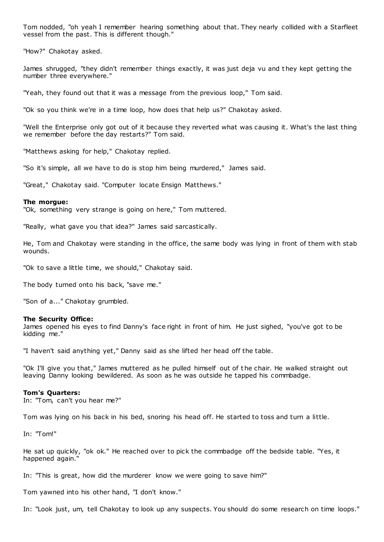Tom nodded, "oh yeah I remember hearing something about that. They nearly collided with a Starfleet vessel from the past. This is different though."

"How?" Chakotay asked.

James shrugged, "they didn't remember things exactly, it was just deja vu and t hey kept getting the number three everywhere."

"Yeah, they found out that it was a message from the previous loop," Tom said.

"Ok so you think we're in a time loop, how does that help us?" Chakotay asked.

"Well the Enterprise only got out of it because they reverted what was causing it. What's the last thing we remember before the day restarts?" Tom said.

"Matthews asking for help," Chakotay replied.

"So it's simple, all we have to do is stop him being murdered," James said.

"Great," Chakotay said. "Computer locate Ensign Matthews."

#### **The morgue:**

"Ok, something very strange is going on here," Tom muttered.

"Really, what gave you that idea?" James said sarcastically.

He, Tom and Chakotay were standing in the office, the same body was lying in front of them with stab wounds.

"Ok to save a little time, we should," Chakotay said.

The body turned onto his back, "save me."

"Son of a..." Chakotay grumbled.

#### **The Security Office:**

James opened his eyes to find Danny's face right in front of him. He just sighed, "you've got to be kidding me."

"I haven't said anything yet," Danny said as she lifted her head off the table.

"Ok I'll give you that," James muttered as he pulled himself out of the chair. He walked straight out leaving Danny looking bewildered. As soon as he was outside he tapped his commbadge.

#### **Tom's Quarters:**

In: "Tom, can't you hear me?"

Tom was lying on his back in his bed, snoring his head off. He started to toss and turn a little.

In: "Tom!"

He sat up quickly, "ok ok." He reached over to pick the commbadge off the bedside table. "Yes, it happened again.

In: "This is great, how did the murderer know we were going to save him?"

Tom yawned into his other hand, "I don't know."

In: "Look just, um, tell Chakotay to look up any suspects. You should do some research on time loops."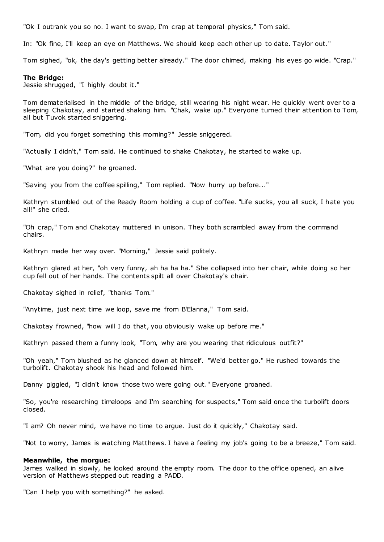"Ok I outrank you so no. I want to swap, I'm crap at temporal physics," Tom said.

In: "Ok fine, I'll keep an eye on Matthews. We should keep each other up to date. Taylor out."

Tom sighed, "ok, the day's getting better already." The door chimed, making his eyes go wide. "Crap."

# **The Bridge:**

Jessie shrugged, "I highly doubt it."

Tom dematerialised in the middle of the bridge, still wearing his night wear. He quickly went over to a sleeping Chakotay, and started shaking him. "Chak, wake up." Everyone turned their attention to Tom, all but Tuvok started sniggering.

"Tom, did you forget something this morning?" Jessie sniggered.

"Actually I didn't," Tom said. He continued to shake Chakotay, he started to wake up.

"What are you doing?" he groaned.

"Saving you from the coffee spilling," Tom replied. "Now hurry up before..."

Kathryn stumbled out of the Ready Room holding a cup of coffee. "Life sucks, you all suck, I hate you all!" she cried.

"Oh crap," Tom and Chakotay muttered in unison. They both scrambled away from the command chairs.

Kathryn made her way over. "Morning," Jessie said politely.

Kathryn glared at her, "oh very funny, ah ha ha ha." She collapsed into her chair, while doing so her cup fell out of her hands. The contents spilt all over Chakotay's chair.

Chakotay sighed in relief, "thanks Tom."

"Anytime, just next time we loop, save me from B'Elanna," Tom said.

Chakotay frowned, "how will I do that, you obviously wake up before me."

Kathryn passed them a funny look, "Tom, why are you wearing that ridiculous outfit?"

"Oh yeah," Tom blushed as he glanced down at himself. "We'd better go." He rushed towards the turbolift. Chakotay shook his head and followed him.

Danny giggled, "I didn't know those two were going out." Everyone groaned.

"So, you're researching timeloops and I'm searching for suspects," Tom said once the turbolift doors closed.

"I am? Oh never mind, we have no time to argue. Just do it quickly," Chakotay said.

"Not to worry, James is watching Matthews. I have a feeling my job's going to be a breeze," Tom said.

### **Meanwhile, the morgue:**

James walked in slowly, he looked around the empty room. The door to the office opened, an alive version of Matthews stepped out reading a PADD.

"Can I help you with something?" he asked.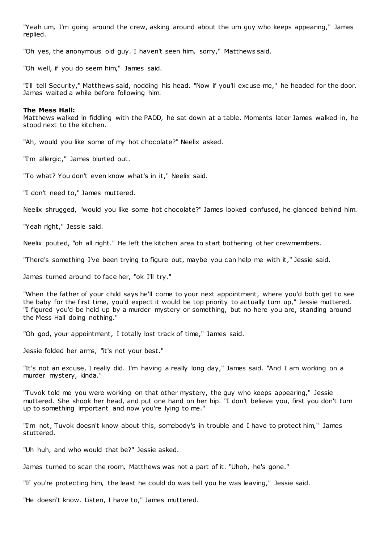"Yeah um, I'm going around the crew, asking around about the um guy who keeps appearing," James replied.

"Oh yes, the anonymous old guy. I haven't seen him, sorry," Matthews said.

"Oh well, if you do seem him," James said.

"I'll tell Security," Matthews said, nodding his head. "Now if you'll excuse me," he headed for the door. James waited a while before following him.

#### **The Mess Hall:**

Matthews walked in fiddling with the PADD, he sat down at a table. Moments later James walked in, he stood next to the kitchen.

"Ah, would you like some of my hot chocolate?" Neelix asked.

"I'm allergic ," James blurted out.

"To what? You don't even know what's in it," Neelix said.

"I don't need to," James muttered.

Neelix shrugged, "would you like some hot chocolate?" James looked confused, he glanced behind him.

"Yeah right," Jessie said.

Neelix pouted, "oh all right." He left the kitchen area to start bothering other crewmembers.

"There's something I've been trying to figure out, maybe you can help me with it," Jessie said.

James turned around to face her, "ok I'll try."

"When the father of your child says he'll come to your next appointment, where you'd both get t o see the baby for the first time, you'd expect it would be top priority to actually turn up," Jessie muttered. "I figured you'd be held up by a murder mystery or something, but no here you are, standing around the Mess Hall doing nothing."

"Oh god, your appointment, I totally lost track of time," James said.

Jessie folded her arms, "it's not your best."

"It's not an excuse, I really did. I'm having a really long day," James said. "And I am working on a murder mystery, kinda."

"Tuvok told me you were working on that other mystery, the guy who keeps appearing," Jessie muttered. She shook her head, and put one hand on her hip. "I don't believe you, first you don't turn up to something important and now you're lying to me."

"I'm not, Tuvok doesn't know about this, somebody's in trouble and I have to protect him," James stuttered.

"Uh huh, and who would that be?" Jessie asked.

James turned to scan the room, Matthews was not a part of it. "Uhoh, he's gone."

"If you're protecting him, the least he could do was tell you he was leaving," Jessie said.

"He doesn't know. Listen, I have to," James muttered.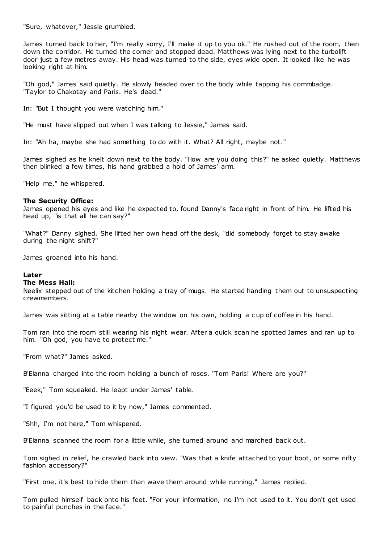"Sure, whatever," Jessie grumbled.

James turned back to her, "I'm really sorry, I'll make it up to you ok." He rushed out of the room, then down the corridor. He turned the corner and stopped dead. Matthews was lying next to the turbolift door just a few metres away. His head was turned to the side, eyes wide open. It looked like he was looking right at him.

"Oh god," James said quietly. He slowly headed over to the body while tapping his commbadge. "Taylor to Chakotay and Paris. He's dead."

In: "But I thought you were watching him."

"He must have slipped out when I was talking to Jessie," James said.

In: "Ah ha, maybe she had something to do with it. What? All right, maybe not."

James sighed as he knelt down next to the body. "How are you doing this?" he asked quietly. Matthews then blinked a few times, his hand grabbed a hold of James' arm.

"Help me," he whispered.

# **The Security Office:**

James opened his eyes and like he expected to, found Danny's face right in front of him. He lifted his head up, "is that all he can say?"

"What?" Danny sighed. She lifted her own head off the desk, "did somebody forget to stay awake during the night shift?"

James groaned into his hand.

### **Later**

### **The Mess Hall:**

Neelix stepped out of the kitchen holding a tray of mugs. He started handing them out to unsuspecting crewmembers.

James was sitting at a table nearby the window on his own, holding a cup of coffee in his hand.

Tom ran into the room still wearing his night wear. After a quick scan he spotted James and ran up to him. "Oh god, you have to protect me."

"From what?" James asked.

B'Elanna charged into the room holding a bunch of roses. "Tom Paris! Where are you?"

"Eeek," Tom squeaked. He leapt under James' table.

"I figured you'd be used to it by now," James commented.

"Shh, I'm not here," Tom whispered.

B'Elanna scanned the room for a little while, she turned around and marched back out.

Tom sighed in relief, he crawled back into view. "Was that a knife attached to your boot, or some nifty fashion accessory?"

"First one, it's best to hide them than wave them around while running," James replied.

Tom pulled himself back onto his feet. "For your information, no I'm not used to it. You don't get used to painful punches in the face."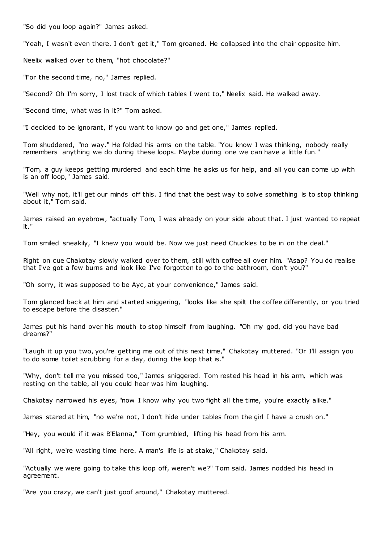"So did you loop again?" James asked.

"Yeah, I wasn't even there. I don't get it," Tom groaned. He collapsed into the chair opposite him.

Neelix walked over to them, "hot chocolate?"

"For the second time, no," James replied.

"Second? Oh I'm sorry, I lost track of which tables I went to," Neelix said. He walked away.

"Second time, what was in it?" Tom asked.

"I decided to be ignorant, if you want to know go and get one," James replied.

Tom shuddered, "no way." He folded his arms on the table. "You know I was thinking, nobody really remembers anything we do during these loops. Maybe during one we can have a little fun."

"Tom, a guy keeps getting murdered and each time he asks us for help, and all you can come up with is an off loop," James said.

"Well why not, it'll get our minds off this. I find that the best way to solve something is to stop thinking about it," Tom said.

James raised an eyebrow, "actually Tom, I was already on your side about that. I just wanted to repeat it."

Tom smiled sneakily, "I knew you would be. Now we just need Chuckles to be in on the deal."

Right on cue Chakotay slowly walked over to them, still with coffee all over him. "Asap? You do realise that I've got a few burns and look like I've forgotten to go to the bathroom, don't you?"

"Oh sorry, it was supposed to be Ayc, at your convenience," James said.

Tom glanced back at him and started sniggering, "looks like she spilt the coffee differently, or you tried to escape before the disaster."

James put his hand over his mouth to stop himself from laughing. "Oh my god, did you have bad dreams?"

"Laugh it up you two, you're getting me out of this next time," Chakotay muttered. "Or I'll assign you to do some toilet scrubbing for a day, during the loop that is."

"Why, don't tell me you missed too," James sniggered. Tom rested his head in his arm, which was resting on the table, all you could hear was him laughing.

Chakotay narrowed his eyes, "now I know why you two fight all the time, you're exactly alike."

James stared at him, "no we're not, I don't hide under tables from the girl I have a crush on."

"Hey, you would if it was B'Elanna," Tom grumbled, lifting his head from his arm.

"All right, we're wasting time here. A man's life is at stake," Chakotay said.

"Actually we were going to take this loop off, weren't we?" Tom said. James nodded his head in agreement.

"Are you crazy, we can't just goof around," Chakotay muttered.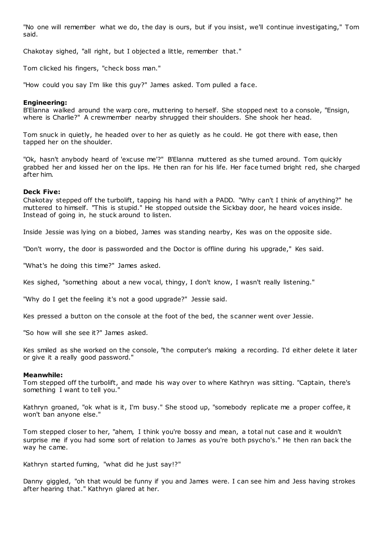"No one will remember what we do, the day is ours, but if you insist, we'll continue investigating," Tom said.

Chakotay sighed, "all right, but I objected a little, remember that."

Tom clicked his fingers, "check boss man."

"How could you say I'm like this guy?" James asked. Tom pulled a face.

# **Engineering:**

B'Elanna walked around the warp core, muttering to herself. She stopped next to a console, "Ensign, where is Charlie?" A crewmember nearby shrugged their shoulders. She shook her head.

Tom snuck in quietly, he headed over to her as quietly as he could. He got there with ease, then tapped her on the shoulder.

"Ok, hasn't anybody heard of 'excuse me'?" B'Elanna muttered as she turned around. Tom quickly grabbed her and kissed her on the lips. He then ran for his life. Her face turned bright red, she charged after him.

# **Deck Five:**

Chakotay stepped off the turbolift, tapping his hand with a PADD. "Why can't I think of anything?" he muttered to himself. "This is stupid." He stopped outside the Sickbay door, he heard voices inside. Instead of going in, he stuck around to listen.

Inside Jessie was lying on a biobed, James was standing nearby, Kes was on the opposite side.

"Don't worry, the door is passworded and the Doctor is offline during his upgrade," Kes said.

"What's he doing this time?" James asked.

Kes sighed, "something about a new vocal, thingy, I don't know, I wasn't really listening."

"Why do I get the feeling it's not a good upgrade?" Jessie said.

Kes pressed a button on the console at the foot of the bed, the scanner went over Jessie.

"So how will she see it?" James asked.

Kes smiled as she worked on the console, "the computer's making a recording. I'd either delete it later or give it a really good password."

# **Meanwhile:**

Tom stepped off the turbolift, and made his way over to where Kathryn was sitting. "Captain, there's something I want to tell you."

Kathryn groaned, "ok what is it, I'm busy." She stood up, "somebody replicate me a proper coffee, it won't ban anyone else."

Tom stepped closer to her, "ahem, I think you're bossy and mean, a total nut case and it wouldn't surprise me if you had some sort of relation to James as you're both psycho's." He then ran back the way he came.

Kathryn started fuming, "what did he just say!?"

Danny giggled, "oh that would be funny if you and James were. I can see him and Jess having strokes after hearing that." Kathryn glared at her.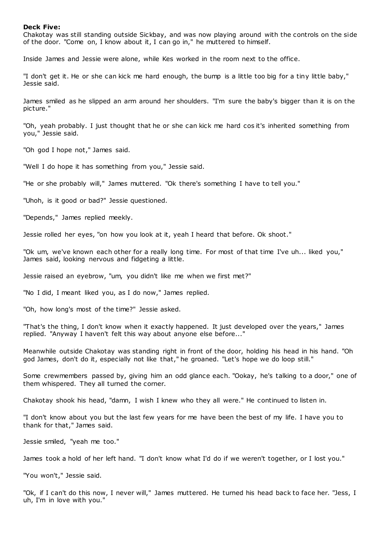# **Deck Five:**

Chakotay was still standing outside Sickbay, and was now playing around with the controls on the side of the door. "Come on, I know about it, I can go in," he muttered to himself.

Inside James and Jessie were alone, while Kes worked in the room next to the office.

"I don't get it. He or she can kick me hard enough, the bump is a little too big for a tiny little baby," Jessie said.

James smiled as he slipped an arm around her shoulders. "I'm sure the baby's bigger than it is on the picture."

"Oh, yeah probably. I just thought that he or she can kick me hard cos it's inherited something from you," Jessie said.

"Oh god I hope not," James said.

"Well I do hope it has something from you," Jessie said.

"He or she probably will," James muttered. "Ok there's something I have to tell you."

"Uhoh, is it good or bad?" Jessie questioned.

"Depends," James replied meekly.

Jessie rolled her eyes, "on how you look at it, yeah I heard that before. Ok shoot."

"Ok um, we've known each other for a really long time. For most of that time I've uh... liked you," James said, looking nervous and fidgeting a little.

Jessie raised an eyebrow, "um, you didn't like me when we first met?"

"No I did, I meant liked you, as I do now," James replied.

"Oh, how long's most of the time?" Jessie asked.

"That's the thing, I don't know when it exactly happened. It just developed over the years," James replied. "Anyway I haven't felt this way about anyone else before..."

Meanwhile outside Chakotay was standing right in front of the door, holding his head in his hand. "Oh god James, don't do it, especially not like that," he groaned. "Let's hope we do loop still."

Some crewmembers passed by, giving him an odd glance each. "Ookay, he's talking to a door," one of them whispered. They all turned the corner.

Chakotay shook his head, "damn, I wish I knew who they all were." He continued to listen in.

"I don't know about you but the last few years for me have been the best of my life. I have you to thank for that," James said.

Jessie smiled, "yeah me too."

James took a hold of her left hand. "I don't know what I'd do if we weren't together, or I lost you."

"You won't," Jessie said.

"Ok, if I can't do this now, I never will," James muttered. He turned his head back to face her. "Jess, I uh, I'm in love with you."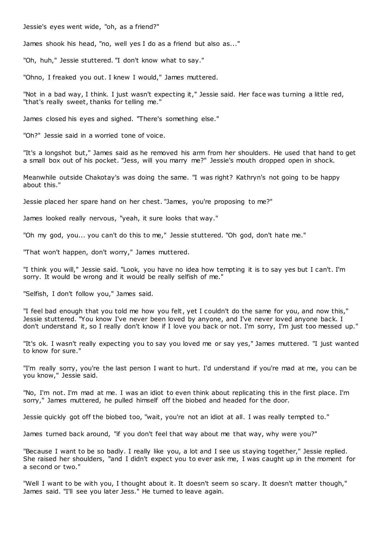Jessie's eyes went wide, "oh, as a friend?"

James shook his head, "no, well yes I do as a friend but also as..."

"Oh, huh," Jessie stuttered. "I don't know what to say."

"Ohno, I freaked you out. I knew I would," James muttered.

"Not in a bad way, I think. I just wasn't expecting it," Jessie said. Her face was turning a little red, "that's really sweet, thanks for telling me."

James closed his eyes and sighed. "There's something else."

"Oh?" Jessie said in a worried tone of voice.

"It's a longshot but," James said as he removed his arm from her shoulders. He used that hand to get a small box out of his pocket. "Jess, will you marry me?" Jessie's mouth dropped open in shock.

Meanwhile outside Chakotay's was doing the same. "I was right? Kathryn's not going to be happy about this."

Jessie placed her spare hand on her chest. "James, you're proposing to me?"

James looked really nervous, "yeah, it sure looks that way."

"Oh my god, you... you can't do this to me," Jessie stuttered. "Oh god, don't hate me."

"That won't happen, don't worry," James muttered.

"I think you will," Jessie said. "Look, you have no idea how tempting it is to say yes but I can't. I'm sorry. It would be wrong and it would be really selfish of me."

"Selfish, I don't follow you," James said.

"I feel bad enough that you told me how you felt, yet I couldn't do the same for you, and now this," Jessie stuttered. "You know I've never been loved by anyone, and I've never loved anyone back. I don't understand it, so I really don't know if I love you back or not. I'm sorry, I'm just too messed up."

"It's ok. I wasn't really expecting you to say you loved me or say yes," James muttered. "I just wanted to know for sure."

"I'm really sorry, you're the last person I want to hurt. I'd understand if you're mad at me, you can be you know," Jessie said.

"No, I'm not. I'm mad at me. I was an idiot to even think about replicating this in the first place. I'm sorry," James muttered, he pulled himself off the biobed and headed for the door.

Jessie quickly got off the biobed too, "wait, you're not an idiot at all. I was really tempted to."

James turned back around, "if you don't feel that way about me that way, why were you?"

"Because I want to be so badly. I really like you, a lot and I see us staying together," Jessie replied. She raised her shoulders, "and I didn't expect you to ever ask me, I was caught up in the moment for a second or two."

"Well I want to be with you, I thought about it. It doesn't seem so scary. It doesn't matter though," James said. "I'll see you later Jess." He turned to leave again.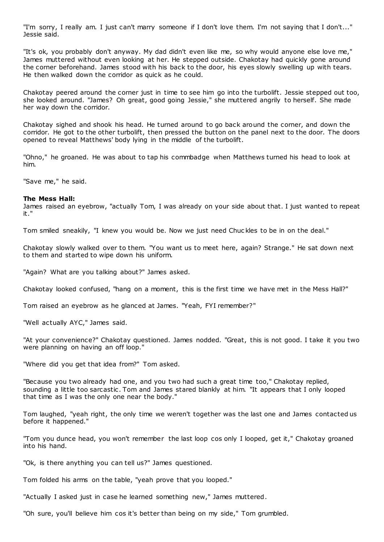"I'm sorry, I really am. I just can't marry someone if I don't love them. I'm not saying that I don't..." Jessie said.

"It's ok, you probably don't anyway. My dad didn't even like me, so why would anyone else love me," James muttered without even looking at her. He stepped outside. Chakotay had quickly gone around the corner beforehand. James stood with his back to the door, his eyes slowly swelling up with tears. He then walked down the corridor as quick as he could.

Chakotay peered around the corner just in time to see him go into the turbolift. Jessie stepped out too, she looked around. "James? Oh great, good going Jessie," she muttered angrily to herself. She made her way down the corridor.

Chakotay sighed and shook his head. He turned around to go back around the corner, and down the corridor. He got to the other turbolift, then pressed the button on the panel next to the door. The doors opened to reveal Matthews' body lying in the middle of the turbolift.

"Ohno," he groaned. He was about to tap his commbadge when Matthews turned his head to look at him.

"Save me," he said.

# **The Mess Hall:**

James raised an eyebrow, "actually Tom, I was already on your side about that. I just wanted to repeat it."

Tom smiled sneakily, "I knew you would be. Now we just need Chuc kles to be in on the deal."

Chakotay slowly walked over to them. "You want us to meet here, again? Strange." He sat down next to them and started to wipe down his uniform.

"Again? What are you talking about?" James asked.

Chakotay looked confused, "hang on a moment, this is the first time we have met in the Mess Hall?"

Tom raised an eyebrow as he glanced at James. "Yeah, FYI remember?"

"Well actually AYC," James said.

"At your convenience?" Chakotay questioned. James nodded. "Great, this is not good. I take it you two were planning on having an off loop."

"Where did you get that idea from?" Tom asked.

"Because you two already had one, and you two had such a great time too," Chakotay replied, sounding a little too sarcastic . Tom and James stared blankly at him. "It appears that I only looped that time as I was the only one near the body."

Tom laughed, "yeah right, the only time we weren't together was the last one and James contacted us before it happened."

"Tom you dunce head, you won't remember the last loop cos only I looped, get it," Chakotay groaned into his hand.

"Ok, is there anything you can tell us?" James questioned.

Tom folded his arms on the table, "yeah prove that you looped."

"Actually I asked just in case he learned something new," James muttered.

"Oh sure, you'll believe him cos it's better than being on my side," Tom grumbled.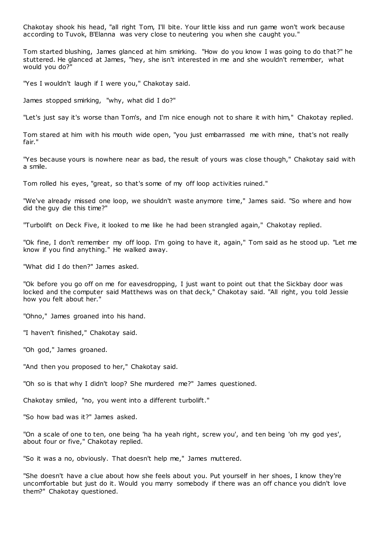Chakotay shook his head, "all right Tom, I'll bite. Your little kiss and run game won't work because according to Tuvok, B'Elanna was very close to neutering you when she caught you."

Tom started blushing, James glanced at him smirking. "How do you know I was going to do that?" he stuttered. He glanced at James, "hey, she isn't interested in me and she wouldn't remember, what would you do?"

"Yes I wouldn't laugh if I were you," Chakotay said.

James stopped smirking, "why, what did I do?"

"Let's just say it's worse than Tom's, and I'm nice enough not to share it with him," Chakotay replied.

Tom stared at him with his mouth wide open, "you just embarrassed me with mine, that's not really fair."

"Yes because yours is nowhere near as bad, the result of yours was close though," Chakotay said with a smile.

Tom rolled his eyes, "great, so that's some of my off loop activities ruined."

"We've already missed one loop, we shouldn't waste anymore time," James said. "So where and how did the guy die this time?"

"Turbolift on Deck Five, it looked to me like he had been strangled again," Chakotay replied.

"Ok fine, I don't remember my off loop. I'm going to have it, again," Tom said as he stood up. "Let me know if you find anything." He walked away.

"What did I do then?" James asked.

"Ok before you go off on me for eavesdropping, I just want to point out that the Sickbay door was locked and the computer said Matthews was on that deck," Chakotay said. "All right, you told Jessie how you felt about her."

"Ohno," James groaned into his hand.

"I haven't finished," Chakotay said.

"Oh god," James groaned.

"And then you proposed to her," Chakotay said.

"Oh so is that why I didn't loop? She murdered me?" James questioned.

Chakotay smiled, "no, you went into a different turbolift."

"So how bad was it?" James asked.

"On a scale of one to ten, one being 'ha ha yeah right, screw you', and ten being 'oh my god yes', about four or five," Chakotay replied.

"So it was a no, obviously. That doesn't help me," James muttered.

"She doesn't have a clue about how she feels about you. Put yourself in her shoes, I know they're uncomfortable but just do it. Would you marry somebody if there was an off chance you didn't love them?" Chakotay questioned.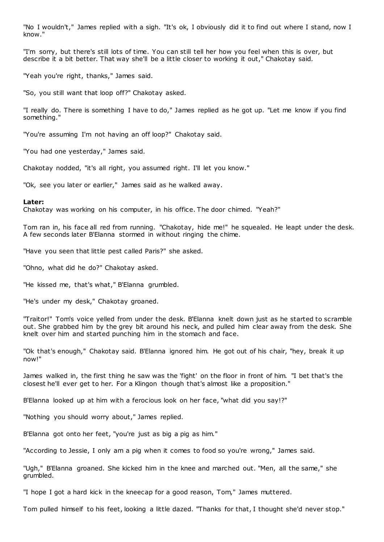"No I wouldn't," James replied with a sigh. "It's ok, I obviously did it to find out where I stand, now I know."

"I'm sorry, but there's still lots of time. You can still tell her how you feel when this is over, but describe it a bit better. That way she'll be a little closer to working it out," Chakotay said.

"Yeah you're right, thanks," James said.

"So, you still want that loop off?" Chakotay asked.

"I really do. There is something I have to do," James replied as he got up. "Let me know if you find something."

"You're assuming I'm not having an off loop?" Chakotay said.

"You had one yesterday," James said.

Chakotay nodded, "it's all right, you assumed right. I'll let you know."

"Ok, see you later or earlier," James said as he walked away.

### **Later:**

Chakotay was working on his computer, in his office. The door chimed. "Yeah?"

Tom ran in, his face all red from running. "Chakotay, hide me!" he squealed. He leapt under the desk. A few seconds later B'Elanna stormed in without ringing the chime.

"Have you seen that little pest called Paris?" she asked.

"Ohno, what did he do?" Chakotay asked.

"He kissed me, that's what," B'Elanna grumbled.

"He's under my desk," Chakotay groaned.

"Traitor!" Tom's voice yelled from under the desk. B'Elanna knelt down just as he started to scramble out. She grabbed him by the grey bit around his neck, and pulled him clear away from the desk. She knelt over him and started punching him in the stomach and face.

"Ok that's enough," Chakotay said. B'Elanna ignored him. He got out of his chair, "hey, break it up now!"

James walked in, the first thing he saw was the 'fight' on the floor in front of him. "I bet that's the closest he'll ever get to her. For a Klingon though that's almost like a proposition."

B'Elanna looked up at him with a ferocious look on her face, "what did you say!?"

"Nothing you should worry about," James replied.

B'Elanna got onto her feet, "you're just as big a pig as him."

"According to Jessie, I only am a pig when it comes to food so you're wrong," James said.

"Ugh," B'Elanna groaned. She kicked him in the knee and marched out. "Men, all the same," she grumbled.

"I hope I got a hard kick in the kneecap for a good reason, Tom," James muttered.

Tom pulled himself to his feet, looking a little dazed. "Thanks for that, I thought she'd never stop."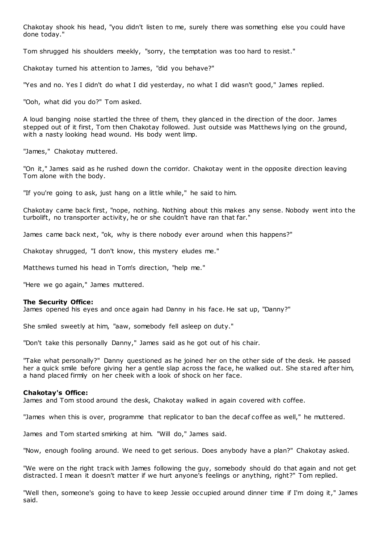Chakotay shook his head, "you didn't listen to me, surely there was something else you could have done today."

Tom shrugged his shoulders meekly, "sorry, the temptation was too hard to resist."

Chakotay turned his attention to James, "did you behave?"

"Yes and no. Yes I didn't do what I did yesterday, no what I did wasn't good," James replied.

"Ooh, what did you do?" Tom asked.

A loud banging noise startled the three of them, they glanced in the direction of the door. James stepped out of it first, Tom then Chakotay followed. Just outside was Matthews lying on the ground, with a nasty looking head wound. His body went limp.

"James," Chakotay muttered.

"On it," James said as he rushed down the corridor. Chakotay went in the opposite direction leaving Tom alone with the body.

"If you're going to ask, just hang on a little while," he said to him.

Chakotay came back first, "nope, nothing. Nothing about this makes any sense. Nobody went into the turbolift, no transporter activity, he or she couldn't have ran that far."

James came back next, "ok, why is there nobody ever around when this happens?"

Chakotay shrugged, "I don't know, this mystery eludes me."

Matthews turned his head in Tom's direction, "help me."

"Here we go again," James muttered.

# **The Security Office:**

James opened his eyes and once again had Danny in his face. He sat up, "Danny?"

She smiled sweetly at him, "aaw, somebody fell asleep on duty."

"Don't take this personally Danny," James said as he got out of his chair.

"Take what personally?" Danny questioned as he joined her on the other side of the desk. He passed her a quick smile before giving her a gentle slap across the face, he walked out. She stared after him, a hand placed firmly on her cheek with a look of shock on her face.

# **Chakotay's Office:**

James and Tom stood around the desk, Chakotay walked in again covered with coffee.

"James when this is over, programme that replicator to ban the decaf coffee as well," he muttered.

James and Tom started smirking at him. "Will do," James said.

"Now, enough fooling around. We need to get serious. Does anybody have a plan?" Chakotay asked.

"We were on the right track with James following the guy, somebody should do that again and not get distracted. I mean it doesn't matter if we hurt anyone's feelings or anything, right?" Tom replied.

"Well then, someone's going to have to keep Jessie occupied around dinner time if I'm doing it," James said.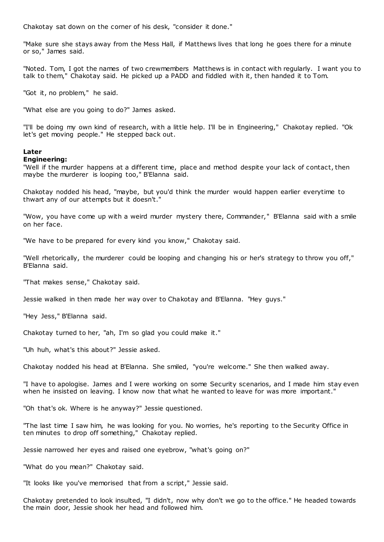Chakotay sat down on the corner of his desk, "consider it done."

"Make sure she stays away from the Mess Hall, if Matthews lives that long he goes there for a minute or so," James said.

"Noted. Tom, I got the names of two crewmembers Matthews is in contact with regularly. I want you to talk to them," Chakotay said. He picked up a PADD and fiddled with it, then handed it to Tom.

"Got it, no problem," he said.

"What else are you going to do?" James asked.

"I'll be doing my own kind of research, with a little help. I'll be in Engineering," Chakotay replied. "Ok let's get moving people." He stepped back out.

# **Later**

# **Engineering:**

"Well if the murder happens at a different time, place and method despite your lack of contact, then maybe the murderer is looping too," B'Elanna said.

Chakotay nodded his head, "maybe, but you'd think the murder would happen earlier everytime to thwart any of our attempts but it doesn't."

"Wow, you have come up with a weird murder mystery there, Commander," B'Elanna said with a smile on her face.

"We have to be prepared for every kind you know," Chakotay said.

"Well rhetorically, the murderer could be looping and changing his or her's strategy to throw you off," B'Elanna said.

"That makes sense," Chakotay said.

Jessie walked in then made her way over to Chakotay and B'Elanna. "Hey guys."

"Hey Jess," B'Elanna said.

Chakotay turned to her, "ah, I'm so glad you could make it."

"Uh huh, what's this about?" Jessie asked.

Chakotay nodded his head at B'Elanna. She smiled, "you're welcome." She then walked away.

"I have to apologise. James and I were working on some Security scenarios, and I made him stay even when he insisted on leaving. I know now that what he wanted to leave for was more important."

"Oh that's ok. Where is he anyway?" Jessie questioned.

"The last time I saw him, he was looking for you. No worries, he's reporting to the Security Office in ten minutes to drop off something," Chakotay replied.

Jessie narrowed her eyes and raised one eyebrow, "what's going on?"

"What do you mean?" Chakotay said.

"It looks like you've memorised that from a script," Jessie said.

Chakotay pretended to look insulted, "I didn't, now why don't we go to the office." He headed towards the main door, Jessie shook her head and followed him.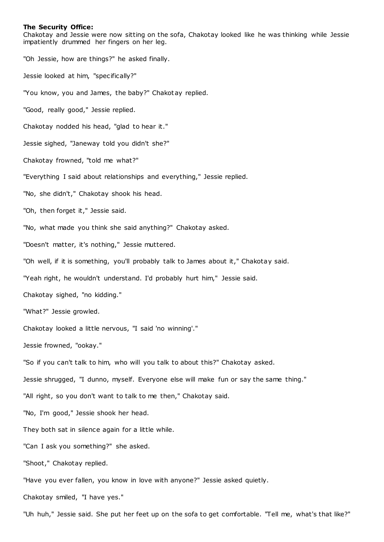### **The Security Office:**

Chakotay and Jessie were now sitting on the sofa, Chakotay looked like he was thinking while Jessie impatiently drummed her fingers on her leg.

"Oh Jessie, how are things?" he asked finally.

Jessie looked at him, "specifically?"

"You know, you and James, the baby?" Chakotay replied.

"Good, really good," Jessie replied.

Chakotay nodded his head, "glad to hear it."

Jessie sighed, "Janeway told you didn't she?"

Chakotay frowned, "told me what?"

"Everything I said about relationships and everything," Jessie replied.

"No, she didn't," Chakotay shook his head.

"Oh, then forget it," Jessie said.

"No, what made you think she said anything?" Chakotay asked.

"Doesn't matter, it's nothing," Jessie muttered.

"Oh well, if it is something, you'll probably talk to James about it," Chakotay said.

"Yeah right, he wouldn't understand. I'd probably hurt him," Jessie said.

Chakotay sighed, "no kidding."

"What?" Jessie growled.

Chakotay looked a little nervous, "I said 'no winning'."

Jessie frowned, "ookay."

"So if you can't talk to him, who will you talk to about this?" Chakotay asked.

Jessie shrugged, "I dunno, myself. Everyone else will make fun or say the same thing."

"All right, so you don't want to talk to me then," Chakotay said.

"No, I'm good," Jessie shook her head.

They both sat in silence again for a little while.

"Can I ask you something?" she asked.

"Shoot," Chakotay replied.

"Have you ever fallen, you know in love with anyone?" Jessie asked quietly.

Chakotay smiled, "I have yes."

"Uh huh," Jessie said. She put her feet up on the sofa to get comfortable. "Tell me, what's that like?"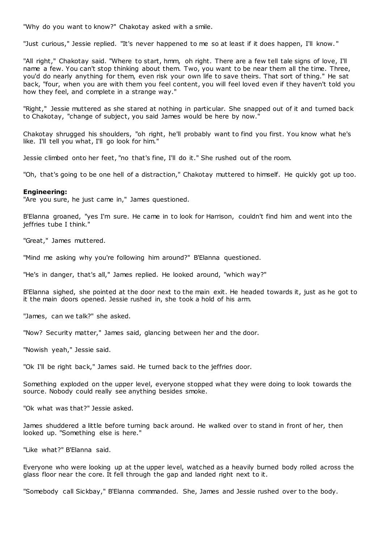"Why do you want to know?" Chakotay asked with a smile.

"Just curious," Jessie replied. "It's never happened to me so at least if it does happen, I'll know. "

"All right," Chakotay said. "Where to start, hmm, oh right. There are a few tell tale signs of love, I'll name a few. You can't stop thinking about them. Two, you want to be near them all the time. Three, you'd do nearly anything for them, even risk your own life to save theirs. That sort of thing." He sat back, "four, when you are with them you feel content, you will feel loved even if they haven't told you how they feel, and complete in a strange way."

"Right," Jessie muttered as she stared at nothing in particular. She snapped out of it and turned back to Chakotay, "change of subject, you said James would be here by now."

Chakotay shrugged his shoulders, "oh right, he'll probably want to find you first. You know what he's like. I'll tell you what, I'll go look for him."

Jessie climbed onto her feet, "no that's fine, I'll do it." She rushed out of the room.

"Oh, that's going to be one hell of a distraction," Chakotay muttered to himself. He quickly got up too.

### **Engineering:**

"Are you sure, he just came in," James questioned.

B'Elanna groaned, "yes I'm sure. He came in to look for Harrison, couldn't find him and went into the jeffries tube I think."

"Great," James muttered.

"Mind me asking why you're following him around?" B'Elanna questioned.

"He's in danger, that's all," James replied. He looked around, "which way?"

B'Elanna sighed, she pointed at the door next to the main exit. He headed towards it, just as he got to it the main doors opened. Jessie rushed in, she took a hold of his arm.

"James, can we talk?" she asked.

"Now? Security matter," James said, glancing between her and the door.

"Nowish yeah," Jessie said.

"Ok I'll be right back," James said. He turned back to the jeffries door.

Something exploded on the upper level, everyone stopped what they were doing to look towards the source. Nobody could really see anything besides smoke.

"Ok what was that?" Jessie asked.

James shuddered a little before turning back around. He walked over to stand in front of her, then looked up. "Something else is here."

"Like what?" B'Elanna said.

Everyone who were looking up at the upper level, watched as a heavily burned body rolled across the glass floor near the core. It fell through the gap and landed right next to it.

"Somebody call Sickbay," B'Elanna commanded. She, James and Jessie rushed over to the body.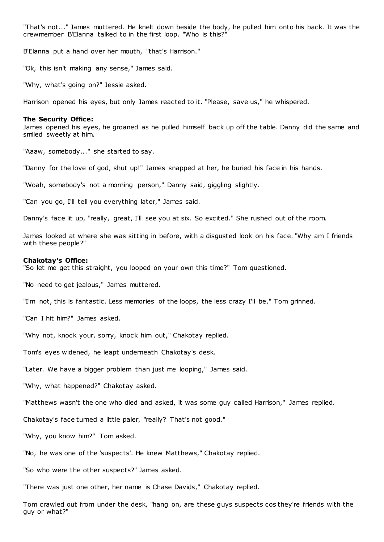"That's not..." James muttered. He knelt down beside the body, he pulled him onto his back. It was the crewmember B'Elanna talked to in the first loop. "Who is this?"

B'Elanna put a hand over her mouth, "that's Harrison."

"Ok, this isn't making any sense," James said.

"Why, what's going on?" Jessie asked.

Harrison opened his eyes, but only James reacted to it. "Please, save us," he whispered.

#### **The Security Office:**

James opened his eyes, he groaned as he pulled himself back up off the table. Danny did the same and smiled sweetly at him.

"Aaaw, somebody..." she started to say.

"Danny for the love of god, shut up!" James snapped at her, he buried his face in his hands.

"Woah, somebody's not a morning person," Danny said, giggling slightly.

"Can you go, I'll tell you everything later," James said.

Danny's face lit up, "really, great, I'll see you at six. So excited." She rushed out of the room.

James looked at where she was sitting in before, with a disgusted look on his face. "Why am I friends with these people?"

#### **Chakotay's Office:**

"So let me get this straight, you looped on your own this time?" Tom questioned.

"No need to get jealous," James muttered.

"I'm not, this is fantastic . Less memories of the loops, the less crazy I'll be," Tom grinned.

"Can I hit him?" James asked.

"Why not, knock your, sorry, knock him out," Chakotay replied.

Tom's eyes widened, he leapt underneath Chakotay's desk.

"Later. We have a bigger problem than just me looping," James said.

"Why, what happened?" Chakotay asked.

"Matthews wasn't the one who died and asked, it was some guy called Harrison," James replied.

Chakotay's face turned a little paler, "really? That's not good."

"Why, you know him?" Tom asked.

"No, he was one of the 'suspects'. He knew Matthews," Chakotay replied.

"So who were the other suspects?" James asked.

"There was just one other, her name is Chase Davids," Chakotay replied.

Tom crawled out from under the desk, "hang on, are these guys suspects cos they're friends with the guy or what?"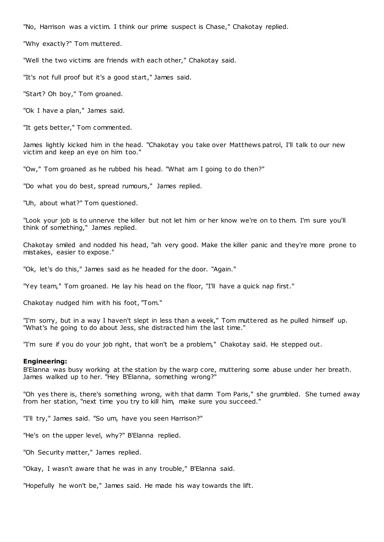"No, Harrison was a victim. I think our prime suspect is Chase," Chakotay replied.

"Why exactly?" Tom muttered.

"Well the two victims are friends with each other," Chakotay said.

"It's not full proof but it's a good start," James said.

"Start? Oh boy," Tom groaned.

"Ok I have a plan," James said.

"It gets better," Tom commented.

James lightly kicked him in the head. "Chakotay you take over Matthews patrol, I'll talk to our new victim and keep an eye on him too."

"Ow," Tom groaned as he rubbed his head. "What am I going to do then?"

"Do what you do best, spread rumours," James replied.

"Uh, about what?" Tom questioned.

"Look your job is to unnerve the killer but not let him or her know we're on to them. I'm sure you'll think of something," James replied.

Chakotay smiled and nodded his head, "ah very good. Make the killer panic and they're more prone to mistakes, easier to expose."

"Ok, let's do this," James said as he headed for the door. "Again."

"Yey team," Tom groaned. He lay his head on the floor, "I'll have a quick nap first."

Chakotay nudged him with his foot, "Tom."

"I'm sorry, but in a way I haven't slept in less than a week," Tom muttered as he pulled himself up. "What's he going to do about Jess, she distracted him the last time."

"I'm sure if you do your job right, that won't be a problem," Chakotay said. He stepped out.

# **Engineering:**

B'Elanna was busy working at the station by the warp core, muttering some abuse under her breath. James walked up to her. "Hey B'Elanna, something wrong?"

"Oh yes there is, there's something wrong, with that damn Tom Paris," she grumbled. She turned away from her station, "next time you try to kill him, make sure you succeed."

"I'll try," James said. "So um, have you seen Harrison?"

"He's on the upper level, why?" B'Elanna replied.

"Oh Security matter," James replied.

"Okay, I wasn't aware that he was in any trouble," B'Elanna said.

"Hopefully he won't be," James said. He made his way towards the lift.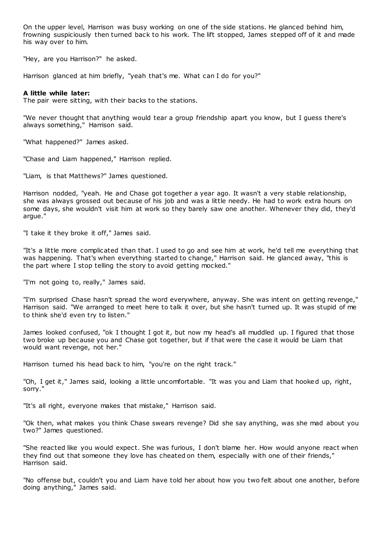On the upper level, Harrison was busy working on one of the side stations. He glanced behind him, frowning suspiciously then turned back to his work. The lift stopped, James stepped off of it and made his way over to him.

"Hey, are you Harrison?" he asked.

Harrison glanced at him briefly, "yeah that's me. What can I do for you?"

# **A little while later:**

The pair were sitting, with their backs to the stations.

"We never thought that anything would tear a group friendship apart you know, but I guess there's always something," Harrison said.

"What happened?" James asked.

"Chase and Liam happened," Harrison replied.

"Liam, is that Matthews?" James questioned.

Harrison nodded, "yeah. He and Chase got together a year ago. It wasn't a very stable relationship, she was always grossed out because of his job and was a little needy. He had to work extra hours on some days, she wouldn't visit him at work so they barely saw one another. Whenever they did, they'd argue."

"I take it they broke it off," James said.

"It's a little more complicated than that. I used to go and see him at work, he'd tell me everything that was happening. That's when everything started to change," Harrison said. He glanced away, "this is the part where I stop telling the story to avoid getting mocked."

"I'm not going to, really," James said.

"I'm surprised Chase hasn't spread the word everywhere, anyway. She was intent on getting revenge," Harrison said. "We arranged to meet here to talk it over, but she hasn't turned up. It was stupid of me to think she'd even try to listen."

James looked confused, "ok I thought I got it, but now my head's all muddled up. I figured that those two broke up because you and Chase got together, but if that were the case it would be Liam that would want revenge, not her."

Harrison turned his head back to him, "you're on the right track."

"Oh, I get it," James said, looking a little uncomfortable. "It was you and Liam that hooked up, right, sorry."

"It's all right, everyone makes that mistake," Harrison said.

"Ok then, what makes you think Chase swears revenge? Did she say anything, was she mad about you two?" James questioned.

"She reacted like you would expect. She was furious, I don't blame her. How would anyone react when they find out that someone they love has cheated on them, especially with one of their friends," Harrison said.

"No offense but, couldn't you and Liam have told her about how you two felt about one another, before doing anything," James said.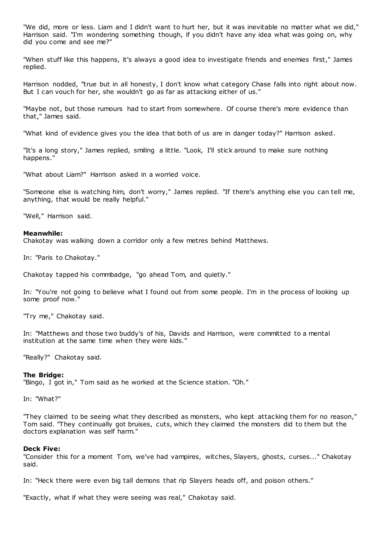"We did, more or less. Liam and I didn't want to hurt her, but it was inevitable no matter what we did," Harrison said. "I'm wondering something though, if you didn't have any idea what was going on, why did you come and see me?"

"When stuff like this happens, it's always a good idea to investigate friends and enemies first," James replied.

Harrison nodded, "true but in all honesty, I don't know what category Chase falls into right about now. But I can vouch for her, she wouldn't go as far as attacking either of us."

"Maybe not, but those rumours had to start from somewhere. Of course there's more evidence than that," James said.

"What kind of evidence gives you the idea that both of us are in danger today?" Harrison asked.

"It's a long story," James replied, smiling a little. "Look, I'll stick around to make sure nothing happens."

"What about Liam?" Harrison asked in a worried voice.

"Someone else is watching him, don't worry," James replied. "If there's anything else you can tell me, anything, that would be really helpful."

"Well," Harrison said.

# **Meanwhile:**

Chakotay was walking down a corridor only a few metres behind Matthews.

In: "Paris to Chakotay."

Chakotay tapped his commbadge, "go ahead Tom, and quietly."

In: "You're not going to believe what I found out from some people. I'm in the process of looking up some proof now."

"Try me," Chakotay said.

In: "Matthews and those two buddy's of his, Davids and Harrison, were committed to a mental institution at the same time when they were kids."

"Really?" Chakotay said.

### **The Bridge:**

"Bingo, I got in," Tom said as he worked at the Science station. "Oh."

In: "What?"

"They claimed to be seeing what they described as monsters, who kept attacking them for no reason," Tom said. "They continually got bruises, cuts, which they claimed the monsters did to them but the doctors explanation was self harm."

### **Deck Five:**

"Consider this for a moment Tom, we've had vampires, witches, Slayers, ghosts, curses..." Chakotay said.

In: "Heck there were even big tall demons that rip Slayers heads off, and poison others."

"Exactly, what if what they were seeing was real," Chakotay said.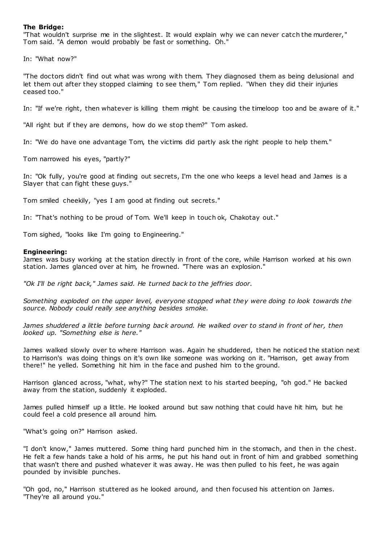# **The Bridge:**

"That wouldn't surprise me in the slightest. It would explain why we can never catch the murderer," Tom said. "A demon would probably be fast or something. Oh."

In: "What now?"

"The doctors didn't find out what was wrong with them. They diagnosed them as being delusional and let them out after they stopped claiming to see them," Tom replied. "When they did their injuries ceased too."

In: "If we're right, then whatever is killing them might be causing the timeloop too and be aware of it."

"All right but if they are demons, how do we stop them?" Tom asked.

In: "We do have one advantage Tom, the victims did partly ask the right people to help them."

Tom narrowed his eyes, "partly?"

In: "Ok fully, you're good at finding out secrets, I'm the one who keeps a level head and James is a Slayer that can fight these guys."

Tom smiled cheekily, "yes I am good at finding out secrets."

In: "That's nothing to be proud of Tom. We'll keep in touch ok, Chakotay out."

Tom sighed, "looks like I'm going to Engineering."

### **Engineering:**

James was busy working at the station directly in front of the core, while Harrison worked at his own station. James glanced over at him, he frowned. "There was an explosion."

*"Ok I'll be right back," James said. He turned back to the jeffries door.*

*Something exploded on the upper level, everyone stopped what they were doing to look towards the source. Nobody could really see anything besides smoke.*

James shuddered a little before turning back around. He walked over to stand in front of her, then *looked up. "Something else is here."*

James walked slowly over to where Harrison was. Again he shuddered, then he noticed the station next to Harrison's was doing things on it's own like someone was working on it. "Harrison, get away from there!" he yelled. Something hit him in the face and pushed him to the ground.

Harrison glanced across, "what, why?" The station next to his started beeping, "oh god." He backed away from the station, suddenly it exploded.

James pulled himself up a little. He looked around but saw nothing that could have hit him, but he could feel a cold presence all around him.

"What's going on?" Harrison asked.

"I don't know," James muttered. Some thing hard punched him in the stomach, and then in the chest. He felt a few hands take a hold of his arms, he put his hand out in front of him and grabbed something that wasn't there and pushed whatever it was away. He was then pulled to his feet, he was again pounded by invisible punches.

"Oh god, no," Harrison stuttered as he looked around, and then focused his attention on James. "They're all around you."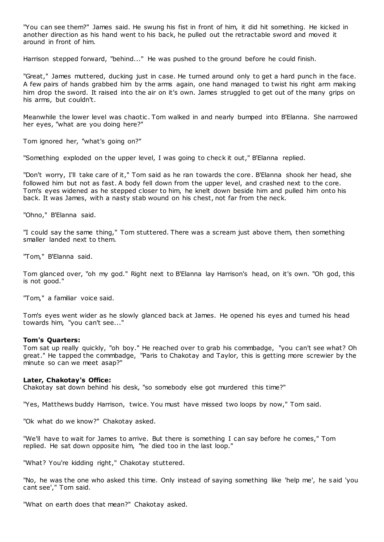"You can see them?" James said. He swung his fist in front of him, it did hit something. He kicked in another direction as his hand went to his back, he pulled out the retractable sword and moved it around in front of him.

Harrison stepped forward, "behind..." He was pushed to the ground before he could finish.

"Great," James muttered, ducking just in case. He turned around only to get a hard punch in the face. A few pairs of hands grabbed him by the arms again, one hand managed to twist his right arm making him drop the sword. It raised into the air on it's own. James struggled to get out of the many grips on his arms, but couldn't.

Meanwhile the lower level was chaotic . Tom walked in and nearly bumped into B'Elanna. She narrowed her eyes, "what are you doing here?"

Tom ignored her, "what's going on?"

"Something exploded on the upper level, I was going to check it out," B'Elanna replied.

"Don't worry, I'll take care of it," Tom said as he ran towards the core. B'Elanna shook her head, she followed him but not as fast. A body fell down from the upper level, and crashed next to the core. Tom's eyes widened as he stepped closer to him, he knelt down beside him and pulled him onto his back. It was James, with a nasty stab wound on his chest, not far from the neck.

"Ohno," B'Elanna said.

"I could say the same thing," Tom stuttered. There was a scream just above them, then something smaller landed next to them.

"Tom," B'Elanna said.

Tom glanced over, "oh my god." Right next to B'Elanna lay Harrison's head, on it's own. "Oh god, this is not good."

"Tom," a familiar voice said.

Tom's eyes went wider as he slowly glanced back at James. He opened his eyes and turned his head towards him, "you can't see..."

### **Tom's Quarters:**

Tom sat up really quickly, "oh boy." He reached over to grab his commbadge, "you can't see what? Oh great." He tapped the commbadge, "Paris to Chakotay and Taylor, this is getting more screwier by the minute so can we meet asap?"

# **Later, Chakotay's Office:**

Chakotay sat down behind his desk, "so somebody else got murdered this time?"

"Yes, Matthews buddy Harrison, twice. You must have missed two loops by now," Tom said.

"Ok what do we know?" Chakotay asked.

"We'll have to wait for James to arrive. But there is something I can say before he comes," Tom replied. He sat down opposite him, "he died too in the last loop."

"What? You're kidding right," Chakotay stuttered.

"No, he was the one who asked this time. Only instead of saying something like 'help me', he said 'you cant see'," Tom said.

"What on earth does that mean?" Chakotay asked.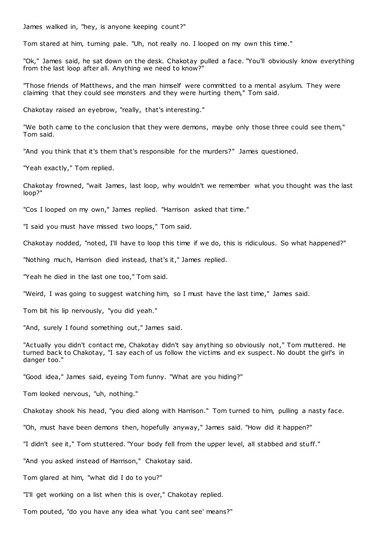James walked in, "hey, is anyone keeping count?"

Tom stared at him, turning pale. "Uh, not really no. I looped on my own this time."

"Ok," James said, he sat down on the desk. Chakotay pulled a face. "You'll obviously know everything from the last loop after all. Anything we need to know?"

"Those friends of Matthews, and the man himself were committed to a mental asylum. They were claiming that they could see monsters and they were hurting them," Tom said.

Chakotay raised an eyebrow, "really, that's interesting."

"We both came to the conclusion that they were demons, maybe only those three could see them," Tom said.

"And you think that it's them that's responsible for the murders?" James questioned.

"Yeah exactly," Tom replied.

Chakotay frowned, "wait James, last loop, why wouldn't we remember what you thought was the last loop?"

"Cos I looped on my own," James replied. "Harrison asked that time."

"I said you must have missed two loops," Tom said.

Chakotay nodded, "noted, I'll have to loop this time if we do, this is ridiculous. So what happened?"

"Nothing much, Harrison died instead, that's it," James replied.

"Yeah he died in the last one too," Tom said.

"Weird, I was going to suggest watching him, so I must have the last time," James said.

Tom bit his lip nervously, "you did yeah."

"And, surely I found something out," James said.

"Actually you didn't contact me, Chakotay didn't say anything so obviously not," Tom muttered. He turned back to Chakotay, "I say each of us follow the victims and ex suspect. No doubt the girl's in danger too."

"Good idea," James said, eyeing Tom funny. "What are you hiding?"

Tom looked nervous, "uh, nothing."

Chakotay shook his head, "you died along with Harrison." Tom turned to him, pulling a nasty face.

"Oh, must have been demons then, hopefully anyway," James said. "How did it happen?"

"I didn't see it," Tom stuttered. "Your body fell from the upper level, all stabbed and stuff."

"And you asked instead of Harrison," Chakotay said.

Tom glared at him, "what did I do to you?"

"I'll get working on a list when this is over," Chakotay replied.

Tom pouted, "do you have any idea what 'you cant see' means?"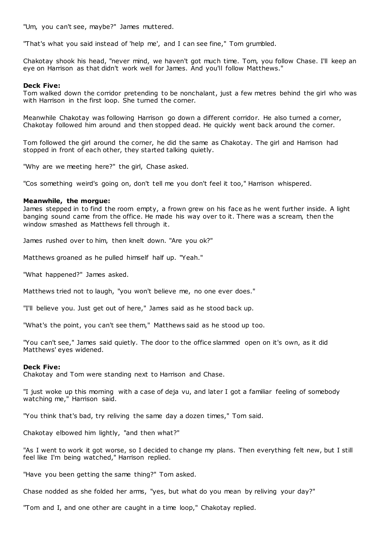"Um, you can't see, maybe?" James muttered.

"That's what you said instead of 'help me', and I can see fine," Tom grumbled.

Chakotay shook his head, "never mind, we haven't got much time. Tom, you follow Chase. I'll keep an eye on Harrison as that didn't work well for James. And you'll follow Matthews."

# **Deck Five:**

Tom walked down the corridor pretending to be nonchalant, just a few metres behind the girl who was with Harrison in the first loop. She turned the corner.

Meanwhile Chakotay was following Harrison go down a different corridor. He also turned a corner, Chakotay followed him around and then stopped dead. He quickly went back around the corner.

Tom followed the girl around the corner, he did the same as Chakotay. The girl and Harrison had stopped in front of each other, they started talking quietly.

"Why are we meeting here?" the girl, Chase asked.

"Cos something weird's going on, don't tell me you don't feel it too," Harrison whispered.

### **Meanwhile, the morgue:**

James stepped in to find the room empty, a frown grew on his face as he went further inside. A light banging sound came from the office. He made his way over to it. There was a scream, then the window smashed as Matthews fell through it.

James rushed over to him, then knelt down. "Are you ok?"

Matthews groaned as he pulled himself half up. "Yeah."

"What happened?" James asked.

Matthews tried not to laugh, "you won't believe me, no one ever does."

"I'll believe you. Just get out of here," James said as he stood back up.

"What's the point, you can't see them," Matthews said as he stood up too.

"You can't see," James said quietly. The door to the office slammed open on it's own, as it did Matthews' eyes widened.

### **Deck Five:**

Chakotay and Tom were standing next to Harrison and Chase.

"I just woke up this morning with a case of deja vu, and later I got a familiar feeling of somebody watching me," Harrison said.

"You think that's bad, try reliving the same day a dozen times," Tom said.

Chakotay elbowed him lightly, "and then what?"

"As I went to work it got worse, so I decided to change my plans. Then everything felt new, but I still feel like I'm being watched," Harrison replied.

"Have you been getting the same thing?" Tom asked.

Chase nodded as she folded her arms, "yes, but what do you mean by reliving your day?"

"Tom and I, and one other are caught in a time loop," Chakotay replied.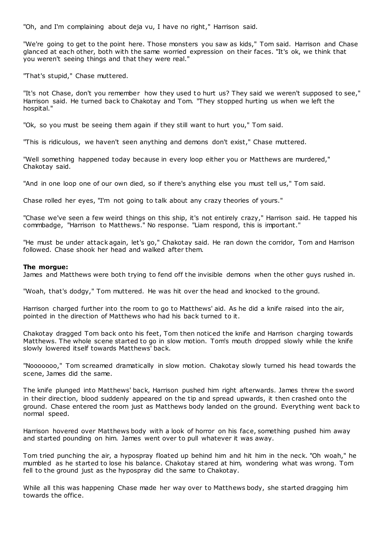"Oh, and I'm complaining about deja vu, I have no right," Harrison said.

"We're going to get to the point here. Those monsters you saw as kids," Tom said. Harrison and Chase glanced at each other, both with the same worried expression on their faces. "It's ok, we think that you weren't seeing things and that they were real."

"That's stupid," Chase muttered.

"It's not Chase, don't you remember how they used to hurt us? They said we weren't supposed to see," Harrison said. He turned back to Chakotay and Tom. "They stopped hurting us when we left the hospital."

"Ok, so you must be seeing them again if they still want to hurt you," Tom said.

"This is ridiculous, we haven't seen anything and demons don't exist," Chase muttered.

"Well something happened today because in every loop either you or Matthews are murdered," Chakotay said.

"And in one loop one of our own died, so if there's anything else you must tell us," Tom said.

Chase rolled her eyes, "I'm not going to talk about any crazy theories of yours."

"Chase we've seen a few weird things on this ship, it's not entirely crazy," Harrison said. He tapped his commbadge, "Harrison to Matthews." No response. "Liam respond, this is important."

"He must be under attack again, let's go," Chakotay said. He ran down the corridor, Tom and Harrison followed. Chase shook her head and walked after them.

# **The morgue:**

James and Matthews were both trying to fend off the invisible demons when the other guys rushed in.

"Woah, that's dodgy," Tom muttered. He was hit over the head and knocked to the ground.

Harrison charged further into the room to go to Matthews' aid. As he did a knife raised into the air, pointed in the direction of Matthews who had his back turned to it.

Chakotay dragged Tom back onto his feet, Tom then noticed the knife and Harrison charging towards Matthews. The whole scene started to go in slow motion. Tom's mouth dropped slowly while the knife slowly lowered itself towards Matthews' back.

"Nooooooo," Tom screamed dramatically in slow motion. Chakotay slowly turned his head towards the scene, James did the same.

The knife plunged into Matthews' back, Harrison pushed him right afterwards. James threw the sword in their direction, blood suddenly appeared on the tip and spread upwards, it then crashed onto the ground. Chase entered the room just as Matthews body landed on the ground. Everything went back to normal speed.

Harrison hovered over Matthews body with a look of horror on his face, something pushed him away and started pounding on him. James went over to pull whatever it was away.

Tom tried punching the air, a hypospray floated up behind him and hit him in the neck. "Oh woah," he mumbled as he started to lose his balance. Chakotay stared at him, wondering what was wrong. Tom fell to the ground just as the hypospray did the same to Chakotay.

While all this was happening Chase made her way over to Matthews body, she started dragging him towards the office.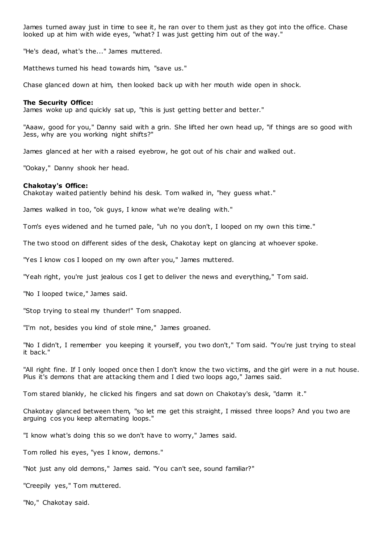James turned away just in time to see it, he ran over to them just as they got into the office. Chase looked up at him with wide eyes, "what? I was just getting him out of the way."

"He's dead, what's the..." James muttered.

Matthews turned his head towards him, "save us."

Chase glanced down at him, then looked back up with her mouth wide open in shock.

### **The Security Office:**

James woke up and quickly sat up, "this is just getting better and better."

"Aaaw, good for you," Danny said with a grin. She lifted her own head up, "if things are so good with Jess, why are you working night shifts?"

James glanced at her with a raised eyebrow, he got out of his chair and walked out.

"Ookay," Danny shook her head.

# **Chakotay's Office:**

Chakotay waited patiently behind his desk. Tom walked in, "hey guess what."

James walked in too, "ok guys, I know what we're dealing with."

Tom's eyes widened and he turned pale, "uh no you don't, I looped on my own this time."

The two stood on different sides of the desk, Chakotay kept on glancing at whoever spoke.

"Yes I know cos I looped on my own after you," James muttered.

"Yeah right, you're just jealous cos I get to deliver the news and everything," Tom said.

"No I looped twice," James said.

"Stop trying to steal my thunder!" Tom snapped.

"I'm not, besides you kind of stole mine," James groaned.

"No I didn't, I remember you keeping it yourself, you two don't," Tom said. "You're just trying to steal it back."

"All right fine. If I only looped once then I don't know the two victims, and the girl were in a nut house. Plus it's demons that are attacking them and I died two loops ago," James said.

Tom stared blankly, he clicked his fingers and sat down on Chakotay's desk, "damn it."

Chakotay glanced between them, "so let me get this straight, I missed three loops? And you two are arguing cos you keep alternating loops."

"I know what's doing this so we don't have to worry," James said.

Tom rolled his eyes, "yes I know, demons."

"Not just any old demons," James said. "You can't see, sound familiar?"

"Creepily yes," Tom muttered.

"No," Chakotay said.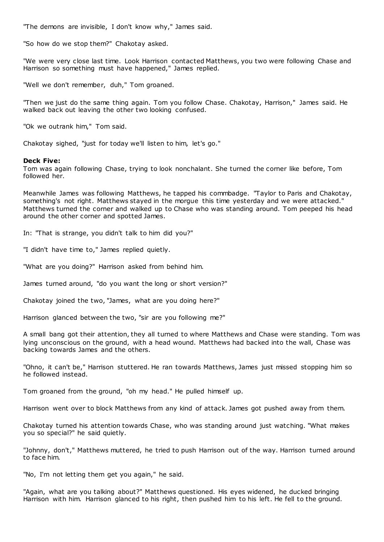"The demons are invisible, I don't know why," James said.

"So how do we stop them?" Chakotay asked.

"We were very close last time. Look Harrison contacted Matthews, you two were following Chase and Harrison so something must have happened," James replied.

"Well we don't remember, duh," Tom groaned.

"Then we just do the same thing again. Tom you follow Chase. Chakotay, Harrison," James said. He walked back out leaving the other two looking confused.

"Ok we outrank him," Tom said.

Chakotay sighed, "just for today we'll listen to him, let's go."

# **Deck Five:**

Tom was again following Chase, trying to look nonchalant. She turned the corner like before, Tom followed her.

Meanwhile James was following Matthews, he tapped his commbadge. "Taylor to Paris and Chakotay, something's not right. Matthews stayed in the morgue this time yesterday and we were attacked." Matthews turned the corner and walked up to Chase who was standing around. Tom peeped his head around the other corner and spotted James.

In: "That is strange, you didn't talk to him did you?"

"I didn't have time to," James replied quietly.

"What are you doing?" Harrison asked from behind him.

James turned around, "do you want the long or short version?"

Chakotay joined the two, "James, what are you doing here?"

Harrison glanced between the two, "sir are you following me?"

A small bang got their attention, they all turned to where Matthews and Chase were standing. Tom was lying unconscious on the ground, with a head wound. Matthews had backed into the wall, Chase was backing towards James and the others.

"Ohno, it can't be," Harrison stuttered. He ran towards Matthews, James just missed stopping him so he followed instead.

Tom groaned from the ground, "oh my head." He pulled himself up.

Harrison went over to block Matthews from any kind of attack. James got pushed away from them.

Chakotay turned his attention towards Chase, who was standing around just watching. "What makes you so special?" he said quietly.

"Johnny, don't," Matthews muttered, he tried to push Harrison out of the way. Harrison turned around to face him.

"No, I'm not letting them get you again," he said.

"Again, what are you talking about?" Matthews questioned. His eyes widened, he ducked bringing Harrison with him. Harrison glanced to his right, then pushed him to his left. He fell to the ground.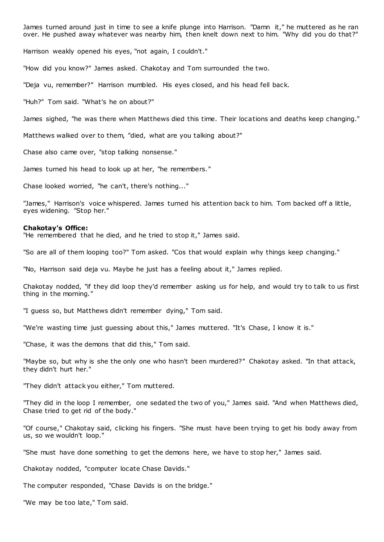James turned around just in time to see a knife plunge into Harrison. "Damn it," he muttered as he ran over. He pushed away whatever was nearby him, then knelt down next to him. "Why did you do that?"

Harrison weakly opened his eyes, "not again, I couldn't."

"How did you know?" James asked. Chakotay and Tom surrounded the two.

"Deja vu, remember?" Harrison mumbled. His eyes closed, and his head fell back.

"Huh?" Tom said. "What's he on about?"

James sighed, "he was there when Matthews died this time. Their locations and deaths keep changing."

Matthews walked over to them, "died, what are you talking about?"

Chase also came over, "stop talking nonsense."

James turned his head to look up at her, "he remembers."

Chase looked worried, "he can't, there's nothing..."

"James," Harrison's voice whispered. James turned his attention back to him. Tom backed off a little, eyes widening. "Stop her."

#### **Chakotay's Office:**

"He remembered that he died, and he tried to stop it," James said.

"So are all of them looping too?" Tom asked. "Cos that would explain why things keep changing."

"No, Harrison said deja vu. Maybe he just has a feeling about it," James replied.

Chakotay nodded, "if they did loop they'd remember asking us for help, and would try to talk to us first thing in the morning."

"I guess so, but Matthews didn't remember dying," Tom said.

"We're wasting time just guessing about this," James muttered. "It's Chase, I know it is."

"Chase, it was the demons that did this," Tom said.

"Maybe so, but why is she the only one who hasn't been murdered?" Chakotay asked. "In that attack, they didn't hurt her."

"They didn't attack you either," Tom muttered.

"They did in the loop I remember, one sedated the two of you," James said. "And when Matthews died, Chase tried to get rid of the body."

"Of course," Chakotay said, clicking his fingers. "She must have been trying to get his body away from us, so we wouldn't loop."

"She must have done something to get the demons here, we have to stop her," James said.

Chakotay nodded, "computer locate Chase Davids."

The computer responded, "Chase Davids is on the bridge."

"We may be too late," Tom said.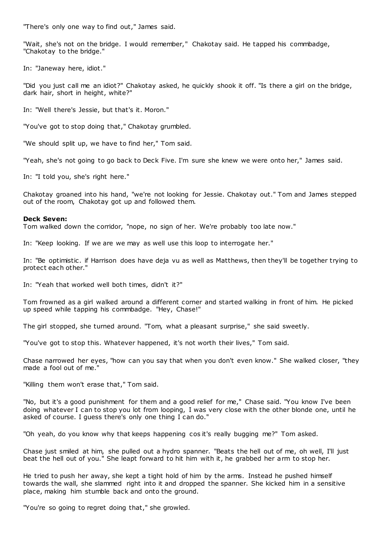"There's only one way to find out," James said.

"Wait, she's not on the bridge. I would remember," Chakotay said. He tapped his commbadge, "Chakotay to the bridge."

In: "Janeway here, idiot."

"Did you just call me an idiot?" Chakotay asked, he quickly shook it off. "Is there a girl on the bridge, dark hair, short in height, white?"

In: "Well there's Jessie, but that's it. Moron."

"You've got to stop doing that," Chakotay grumbled.

"We should split up, we have to find her," Tom said.

"Yeah, she's not going to go back to Deck Five. I'm sure she knew we were onto her," James said.

In: "I told you, she's right here."

Chakotay groaned into his hand, "we're not looking for Jessie. Chakotay out." Tom and James stepped out of the room, Chakotay got up and followed them.

### **Deck Seven:**

Tom walked down the corridor, "nope, no sign of her. We're probably too late now."

In: "Keep looking. If we are we may as well use this loop to interrogate her."

In: "Be optimistic . if Harrison does have deja vu as well as Matthews, then they'll be together trying to protect each other."

In: "Yeah that worked well both times, didn't it?"

Tom frowned as a girl walked around a different corner and started walking in front of him. He picked up speed while tapping his commbadge. "Hey, Chase!"

The girl stopped, she turned around. "Tom, what a pleasant surprise," she said sweetly.

"You've got to stop this. Whatever happened, it's not worth their lives," Tom said.

Chase narrowed her eyes, "how can you say that when you don't even know." She walked closer, "they made a fool out of me."

"Killing them won't erase that," Tom said.

"No, but it's a good punishment for them and a good relief for me," Chase said. "You know I've been doing whatever I can to stop you lot from looping, I was very close with the other blonde one, until he asked of course. I guess there's only one thing I can do."

"Oh yeah, do you know why that keeps happening cos it's really bugging me?" Tom asked.

Chase just smiled at him, she pulled out a hydro spanner. "Beats the hell out of me, oh well, I'll just beat the hell out of you." She leapt forward to hit him with it, he grabbed her arm to stop her.

He tried to push her away, she kept a tight hold of him by the arms. Instead he pushed himself towards the wall, she slammed right into it and dropped the spanner. She kicked him in a sensitive place, making him stumble back and onto the ground.

"You're so going to regret doing that," she growled.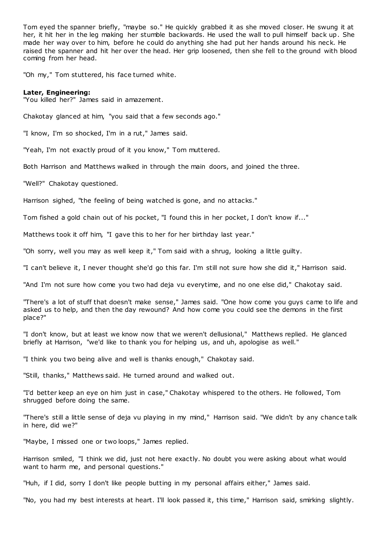Tom eyed the spanner briefly, "maybe so." He quickly grabbed it as she moved closer. He swung it at her, it hit her in the leg making her stumble backwards. He used the wall to pull himself back up. She made her way over to him, before he could do anything she had put her hands around his neck. He raised the spanner and hit her over the head. Her grip loosened, then she fell to the ground with blood coming from her head.

"Oh my," Tom stuttered, his face turned white.

# **Later, Engineering:**

"You killed her?" James said in amazement.

Chakotay glanced at him, "you said that a few seconds ago."

"I know, I'm so shocked, I'm in a rut," James said.

"Yeah, I'm not exactly proud of it you know," Tom muttered.

Both Harrison and Matthews walked in through the main doors, and joined the three.

"Well?" Chakotay questioned.

Harrison sighed, "the feeling of being watched is gone, and no attacks."

Tom fished a gold chain out of his pocket, "I found this in her pocket, I don't know if..."

Matthews took it off him, "I gave this to her for her birthday last year."

"Oh sorry, well you may as well keep it," Tom said with a shrug, looking a little guilty.

"I can't believe it, I never thought she'd go this far. I'm still not sure how she did it," Harrison said.

"And I'm not sure how come you two had deja vu everytime, and no one else did," Chakotay said.

"There's a lot of stuff that doesn't make sense," James said. "One how come you guys came to life and asked us to help, and then the day rewound? And how come you could see the demons in the first place?"

"I don't know, but at least we know now that we weren't dellusional," Matthews replied. He glanced briefly at Harrison, "we'd like to thank you for helping us, and uh, apologise as well."

"I think you two being alive and well is thanks enough," Chakotay said.

"Still, thanks," Matthews said. He turned around and walked out.

"I'd better keep an eye on him just in case," Chakotay whispered to the others. He followed, Tom shrugged before doing the same.

"There's still a little sense of deja vu playing in my mind," Harrison said. "We didn't by any chance talk in here, did we?"

"Maybe, I missed one or two loops," James replied.

Harrison smiled, "I think we did, just not here exactly. No doubt you were asking about what would want to harm me, and personal questions."

"Huh, if I did, sorry I don't like people butting in my personal affairs either," James said.

"No, you had my best interests at heart. I'll look passed it, this time," Harrison said, smirking slightly.